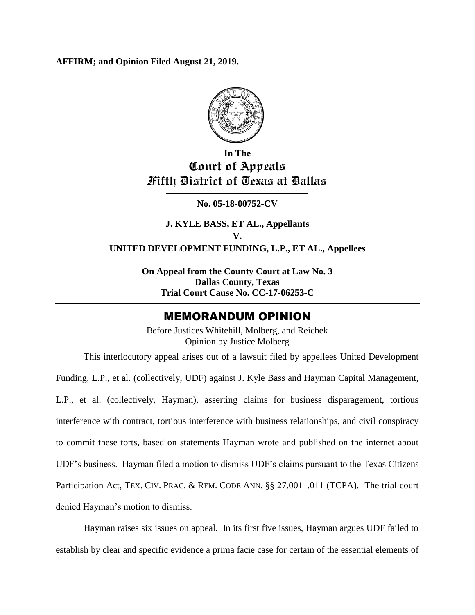**AFFIRM; and Opinion Filed August 21, 2019.**



# **In The Court of Appeals Fifth District of Texas at Dallas**

**No. 05-18-00752-CV**

**J. KYLE BASS, ET AL., Appellants V. UNITED DEVELOPMENT FUNDING, L.P., ET AL., Appellees**

> **On Appeal from the County Court at Law No. 3 Dallas County, Texas Trial Court Cause No. CC-17-06253-C**

# MEMORANDUM OPINION

Before Justices Whitehill, Molberg, and Reichek Opinion by Justice Molberg

This interlocutory appeal arises out of a lawsuit filed by appellees United Development Funding, L.P., et al. (collectively, UDF) against J. Kyle Bass and Hayman Capital Management, L.P., et al. (collectively, Hayman), asserting claims for business disparagement, tortious interference with contract, tortious interference with business relationships, and civil conspiracy to commit these torts, based on statements Hayman wrote and published on the internet about UDF's business. Hayman filed a motion to dismiss UDF's claims pursuant to the Texas Citizens Participation Act, TEX. CIV. PRAC. & REM. CODE ANN. §§ 27.001-.011 (TCPA). The trial court denied Hayman's motion to dismiss.

Hayman raises six issues on appeal. In its first five issues, Hayman argues UDF failed to establish by clear and specific evidence a prima facie case for certain of the essential elements of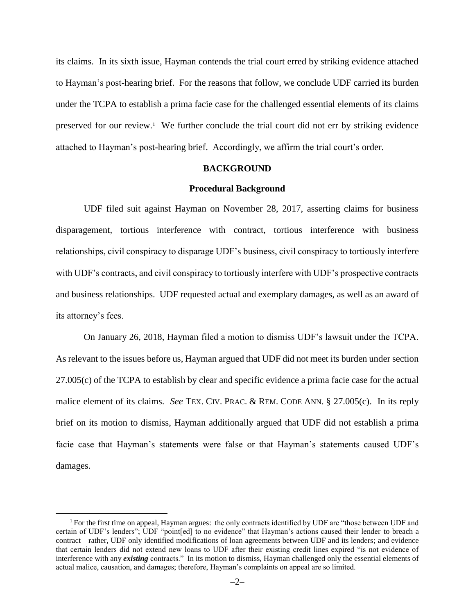its claims. In its sixth issue, Hayman contends the trial court erred by striking evidence attached to Hayman's post-hearing brief. For the reasons that follow, we conclude UDF carried its burden under the TCPA to establish a prima facie case for the challenged essential elements of its claims preserved for our review.<sup>1</sup> We further conclude the trial court did not err by striking evidence attached to Hayman's post-hearing brief. Accordingly, we affirm the trial court's order.

#### **BACKGROUND**

#### **Procedural Background**

UDF filed suit against Hayman on November 28, 2017, asserting claims for business disparagement, tortious interference with contract, tortious interference with business relationships, civil conspiracy to disparage UDF's business, civil conspiracy to tortiously interfere with UDF's contracts, and civil conspiracy to tortiously interfere with UDF's prospective contracts and business relationships. UDF requested actual and exemplary damages, as well as an award of its attorney's fees.

On January 26, 2018, Hayman filed a motion to dismiss UDF's lawsuit under the TCPA. As relevant to the issues before us, Hayman argued that UDF did not meet its burden under section 27.005(c) of the TCPA to establish by clear and specific evidence a prima facie case for the actual malice element of its claims. *See* TEX. CIV. PRAC. & REM. CODE ANN. § 27.005(c). In its reply brief on its motion to dismiss, Hayman additionally argued that UDF did not establish a prima facie case that Hayman's statements were false or that Hayman's statements caused UDF's damages.

<sup>&</sup>lt;sup>1</sup> For the first time on appeal, Hayman argues: the only contracts identified by UDF are "those between UDF and certain of UDF's lenders"; UDF "point[ed] to no evidence" that Hayman's actions caused their lender to breach a contract—rather, UDF only identified modifications of loan agreements between UDF and its lenders; and evidence that certain lenders did not extend new loans to UDF after their existing credit lines expired "is not evidence of interference with any *existing* contracts." In its motion to dismiss, Hayman challenged only the essential elements of actual malice, causation, and damages; therefore, Hayman's complaints on appeal are so limited.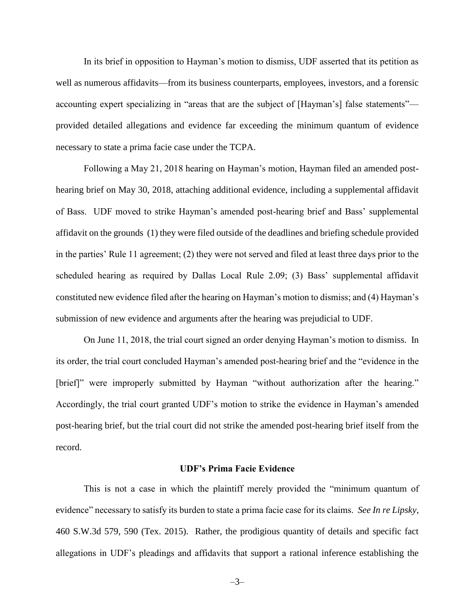In its brief in opposition to Hayman's motion to dismiss, UDF asserted that its petition as well as numerous affidavits—from its business counterparts, employees, investors, and a forensic accounting expert specializing in "areas that are the subject of [Hayman's] false statements" provided detailed allegations and evidence far exceeding the minimum quantum of evidence necessary to state a prima facie case under the TCPA.

Following a May 21, 2018 hearing on Hayman's motion, Hayman filed an amended posthearing brief on May 30, 2018, attaching additional evidence, including a supplemental affidavit of Bass. UDF moved to strike Hayman's amended post-hearing brief and Bass' supplemental affidavit on the grounds (1) they were filed outside of the deadlines and briefing schedule provided in the parties' Rule 11 agreement; (2) they were not served and filed at least three days prior to the scheduled hearing as required by Dallas Local Rule 2.09; (3) Bass' supplemental affidavit constituted new evidence filed after the hearing on Hayman's motion to dismiss; and (4) Hayman's submission of new evidence and arguments after the hearing was prejudicial to UDF.

On June 11, 2018, the trial court signed an order denying Hayman's motion to dismiss. In its order, the trial court concluded Hayman's amended post-hearing brief and the "evidence in the [brief]" were improperly submitted by Hayman "without authorization after the hearing." Accordingly, the trial court granted UDF's motion to strike the evidence in Hayman's amended post-hearing brief, but the trial court did not strike the amended post-hearing brief itself from the record.

#### **UDF's Prima Facie Evidence**

This is not a case in which the plaintiff merely provided the "minimum quantum of evidence" necessary to satisfy its burden to state a prima facie case for its claims. *See In re Lipsky*, 460 S.W.3d 579, 590 (Tex. 2015). Rather, the prodigious quantity of details and specific fact allegations in UDF's pleadings and affidavits that support a rational inference establishing the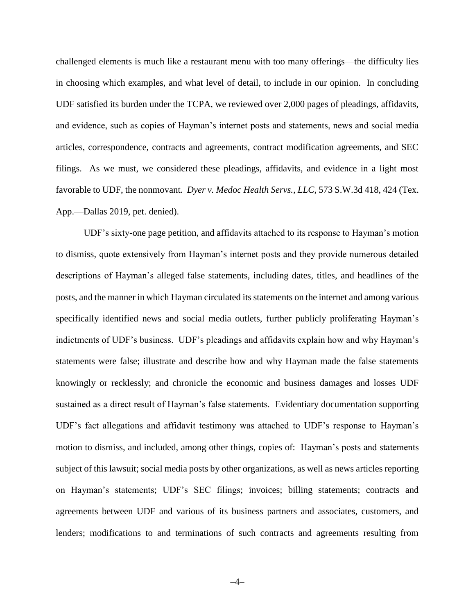challenged elements is much like a restaurant menu with too many offerings—the difficulty lies in choosing which examples, and what level of detail, to include in our opinion. In concluding UDF satisfied its burden under the TCPA, we reviewed over 2,000 pages of pleadings, affidavits, and evidence, such as copies of Hayman's internet posts and statements, news and social media articles, correspondence, contracts and agreements, contract modification agreements, and SEC filings. As we must, we considered these pleadings, affidavits, and evidence in a light most favorable to UDF, the nonmovant. *Dyer v. Medoc Health Servs., LLC*, 573 S.W.3d 418, 424 (Tex. App.—Dallas 2019, pet. denied).

UDF's sixty-one page petition, and affidavits attached to its response to Hayman's motion to dismiss, quote extensively from Hayman's internet posts and they provide numerous detailed descriptions of Hayman's alleged false statements, including dates, titles, and headlines of the posts, and the manner in which Hayman circulated its statements on the internet and among various specifically identified news and social media outlets, further publicly proliferating Hayman's indictments of UDF's business. UDF's pleadings and affidavits explain how and why Hayman's statements were false; illustrate and describe how and why Hayman made the false statements knowingly or recklessly; and chronicle the economic and business damages and losses UDF sustained as a direct result of Hayman's false statements. Evidentiary documentation supporting UDF's fact allegations and affidavit testimony was attached to UDF's response to Hayman's motion to dismiss, and included, among other things, copies of: Hayman's posts and statements subject of this lawsuit; social media posts by other organizations, as well as news articles reporting on Hayman's statements; UDF's SEC filings; invoices; billing statements; contracts and agreements between UDF and various of its business partners and associates, customers, and lenders; modifications to and terminations of such contracts and agreements resulting from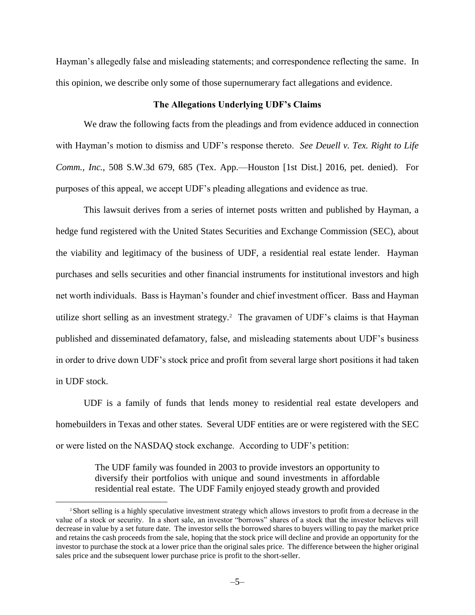Hayman's allegedly false and misleading statements; and correspondence reflecting the same. In this opinion, we describe only some of those supernumerary fact allegations and evidence.

#### **The Allegations Underlying UDF's Claims**

We draw the following facts from the pleadings and from evidence adduced in connection with Hayman's motion to dismiss and UDF's response thereto. *See Deuell v. Tex. Right to Life Comm., Inc.*, 508 S.W.3d 679, 685 (Tex. App.—Houston [1st Dist.] 2016, pet. denied). For purposes of this appeal, we accept UDF's pleading allegations and evidence as true.

This lawsuit derives from a series of internet posts written and published by Hayman, a hedge fund registered with the United States Securities and Exchange Commission (SEC), about the viability and legitimacy of the business of UDF, a residential real estate lender. Hayman purchases and sells securities and other financial instruments for institutional investors and high net worth individuals. Bass is Hayman's founder and chief investment officer. Bass and Hayman utilize short selling as an investment strategy.<sup>2</sup> The gravamen of UDF's claims is that Hayman published and disseminated defamatory, false, and misleading statements about UDF's business in order to drive down UDF's stock price and profit from several large short positions it had taken in UDF stock.

UDF is a family of funds that lends money to residential real estate developers and homebuilders in Texas and other states. Several UDF entities are or were registered with the SEC or were listed on the NASDAQ stock exchange. According to UDF's petition:

> The UDF family was founded in 2003 to provide investors an opportunity to diversify their portfolios with unique and sound investments in affordable residential real estate. The UDF Family enjoyed steady growth and provided

<sup>2</sup> Short selling is a highly speculative investment strategy which allows investors to profit from a decrease in the value of a stock or security. In a short sale, an investor "borrows" shares of a stock that the investor believes will decrease in value by a set future date. The investor sells the borrowed shares to buyers willing to pay the market price and retains the cash proceeds from the sale, hoping that the stock price will decline and provide an opportunity for the investor to purchase the stock at a lower price than the original sales price. The difference between the higher original sales price and the subsequent lower purchase price is profit to the short-seller.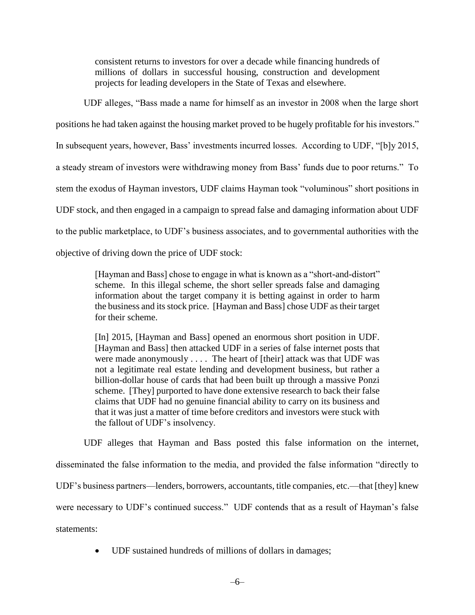consistent returns to investors for over a decade while financing hundreds of millions of dollars in successful housing, construction and development projects for leading developers in the State of Texas and elsewhere.

UDF alleges, "Bass made a name for himself as an investor in 2008 when the large short positions he had taken against the housing market proved to be hugely profitable for his investors." In subsequent years, however, Bass' investments incurred losses. According to UDF, "[b]y 2015, a steady stream of investors were withdrawing money from Bass' funds due to poor returns." To stem the exodus of Hayman investors, UDF claims Hayman took "voluminous" short positions in UDF stock, and then engaged in a campaign to spread false and damaging information about UDF to the public marketplace, to UDF's business associates, and to governmental authorities with the objective of driving down the price of UDF stock:

> [Hayman and Bass] chose to engage in what is known as a "short-and-distort" scheme. In this illegal scheme, the short seller spreads false and damaging information about the target company it is betting against in order to harm the business and its stock price. [Hayman and Bass] chose UDF as their target for their scheme.

> [In] 2015, [Hayman and Bass] opened an enormous short position in UDF. [Hayman and Bass] then attacked UDF in a series of false internet posts that were made anonymously . . . . The heart of [their] attack was that UDF was not a legitimate real estate lending and development business, but rather a billion-dollar house of cards that had been built up through a massive Ponzi scheme. [They] purported to have done extensive research to back their false claims that UDF had no genuine financial ability to carry on its business and that it was just a matter of time before creditors and investors were stuck with the fallout of UDF's insolvency.

UDF alleges that Hayman and Bass posted this false information on the internet, disseminated the false information to the media, and provided the false information "directly to UDF's business partners—lenders, borrowers, accountants, title companies, etc.—that [they] knew were necessary to UDF's continued success." UDF contends that as a result of Hayman's false statements:

UDF sustained hundreds of millions of dollars in damages;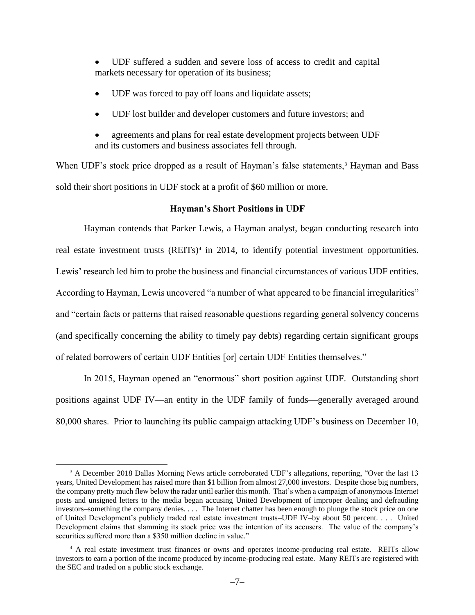UDF suffered a sudden and severe loss of access to credit and capital markets necessary for operation of its business;

- UDF was forced to pay off loans and liquidate assets;
- UDF lost builder and developer customers and future investors; and
- agreements and plans for real estate development projects between UDF and its customers and business associates fell through.

When UDF's stock price dropped as a result of Hayman's false statements,<sup>3</sup> Hayman and Bass sold their short positions in UDF stock at a profit of \$60 million or more.

#### **Hayman's Short Positions in UDF**

Hayman contends that Parker Lewis, a Hayman analyst, began conducting research into real estate investment trusts (REITs)<sup>4</sup> in 2014, to identify potential investment opportunities. Lewis' research led him to probe the business and financial circumstances of various UDF entities. According to Hayman, Lewis uncovered "a number of what appeared to be financial irregularities" and "certain facts or patterns that raised reasonable questions regarding general solvency concerns (and specifically concerning the ability to timely pay debts) regarding certain significant groups of related borrowers of certain UDF Entities [or] certain UDF Entities themselves."

In 2015, Hayman opened an "enormous" short position against UDF. Outstanding short positions against UDF IV—an entity in the UDF family of funds—generally averaged around 80,000 shares. Prior to launching its public campaign attacking UDF's business on December 10,

<sup>&</sup>lt;sup>3</sup> A December 2018 Dallas Morning News article corroborated UDF's allegations, reporting, "Over the last 13 years, United Development has raised more than \$1 billion from almost 27,000 investors. Despite those big numbers, the company pretty much flew below the radar until earlier this month. That's when a campaign of anonymous Internet posts and unsigned letters to the media began accusing United Development of improper dealing and defrauding investors–something the company denies. . . . The Internet chatter has been enough to plunge the stock price on one of United Development's publicly traded real estate investment trusts–UDF IV–by about 50 percent. . . . United Development claims that slamming its stock price was the intention of its accusers. The value of the company's securities suffered more than a \$350 million decline in value."

<sup>&</sup>lt;sup>4</sup> A real estate investment trust finances or owns and operates income-producing real estate. REITs allow investors to earn a portion of the income produced by income-producing real estate. Many REITs are registered with the SEC and traded on a public stock exchange.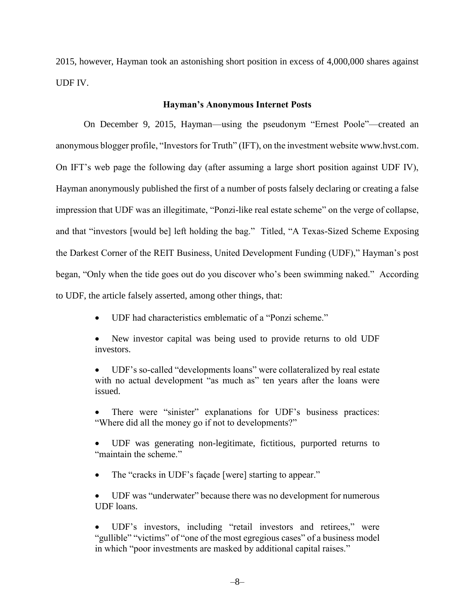2015, however, Hayman took an astonishing short position in excess of 4,000,000 shares against UDF IV.

#### **Hayman's Anonymous Internet Posts**

On December 9, 2015, Hayman—using the pseudonym "Ernest Poole"—created an anonymous blogger profile, "Investors for Truth" (IFT), on the investment website www.hvst.com. On IFT's web page the following day (after assuming a large short position against UDF IV), Hayman anonymously published the first of a number of posts falsely declaring or creating a false impression that UDF was an illegitimate, "Ponzi-like real estate scheme" on the verge of collapse, and that "investors [would be] left holding the bag." Titled, "A Texas-Sized Scheme Exposing the Darkest Corner of the REIT Business, United Development Funding (UDF)," Hayman's post began, "Only when the tide goes out do you discover who's been swimming naked." According to UDF, the article falsely asserted, among other things, that:

- UDF had characteristics emblematic of a "Ponzi scheme."
- New investor capital was being used to provide returns to old UDF investors.

 UDF's so-called "developments loans" were collateralized by real estate with no actual development "as much as" ten years after the loans were issued.

 There were "sinister" explanations for UDF's business practices: "Where did all the money go if not to developments?"

 UDF was generating non-legitimate, fictitious, purported returns to "maintain the scheme."

• The "cracks in UDF's façade [were] starting to appear."

 UDF was "underwater" because there was no development for numerous UDF loans.

 UDF's investors, including "retail investors and retirees," were "gullible" "victims" of "one of the most egregious cases" of a business model in which "poor investments are masked by additional capital raises."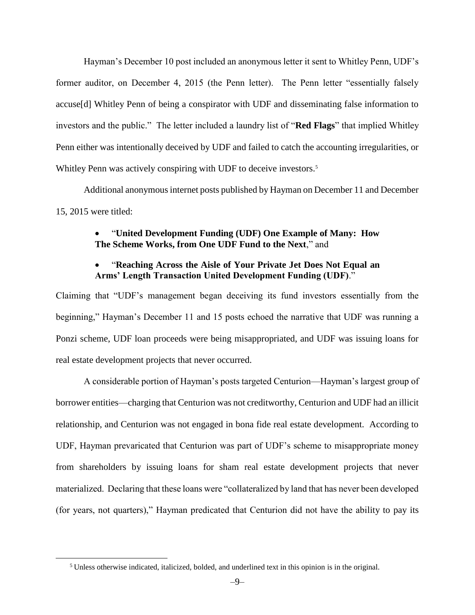Hayman's December 10 post included an anonymous letter it sent to Whitley Penn, UDF's former auditor, on December 4, 2015 (the Penn letter). The Penn letter "essentially falsely accuse[d] Whitley Penn of being a conspirator with UDF and disseminating false information to investors and the public." The letter included a laundry list of "**Red Flags**" that implied Whitley Penn either was intentionally deceived by UDF and failed to catch the accounting irregularities, or Whitley Penn was actively conspiring with UDF to deceive investors.<sup>5</sup>

Additional anonymous internet posts published by Hayman on December 11 and December 15, 2015 were titled:

# "**United Development Funding (UDF) One Example of Many: How The Scheme Works, from One UDF Fund to the Next**," and

# "**Reaching Across the Aisle of Your Private Jet Does Not Equal an Arms' Length Transaction United Development Funding (UDF)**."

Claiming that "UDF's management began deceiving its fund investors essentially from the beginning," Hayman's December 11 and 15 posts echoed the narrative that UDF was running a Ponzi scheme, UDF loan proceeds were being misappropriated, and UDF was issuing loans for real estate development projects that never occurred.

A considerable portion of Hayman's posts targeted Centurion—Hayman's largest group of borrower entities—charging that Centurion was not creditworthy, Centurion and UDF had an illicit relationship, and Centurion was not engaged in bona fide real estate development. According to UDF, Hayman prevaricated that Centurion was part of UDF's scheme to misappropriate money from shareholders by issuing loans for sham real estate development projects that never materialized. Declaring that these loans were "collateralized by land that has never been developed (for years, not quarters)," Hayman predicated that Centurion did not have the ability to pay its

<sup>5</sup> Unless otherwise indicated, italicized, bolded, and underlined text in this opinion is in the original.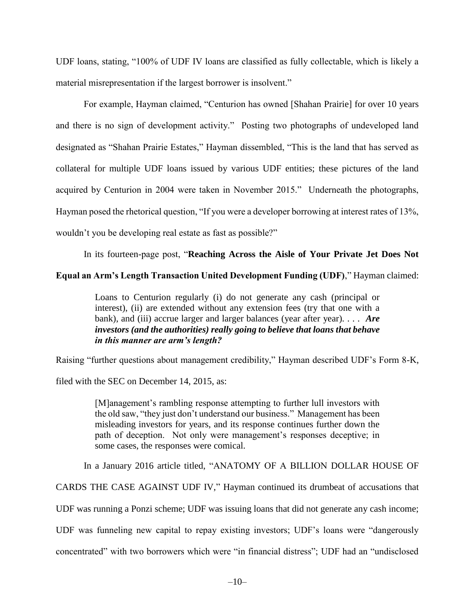UDF loans, stating, "100% of UDF IV loans are classified as fully collectable, which is likely a material misrepresentation if the largest borrower is insolvent."

For example, Hayman claimed, "Centurion has owned [Shahan Prairie] for over 10 years and there is no sign of development activity." Posting two photographs of undeveloped land designated as "Shahan Prairie Estates," Hayman dissembled, "This is the land that has served as collateral for multiple UDF loans issued by various UDF entities; these pictures of the land acquired by Centurion in 2004 were taken in November 2015." Underneath the photographs, Hayman posed the rhetorical question, "If you were a developer borrowing at interest rates of 13%, wouldn't you be developing real estate as fast as possible?"

In its fourteen-page post, "**Reaching Across the Aisle of Your Private Jet Does Not** 

### **Equal an Arm's Length Transaction United Development Funding (UDF)**," Hayman claimed:

Loans to Centurion regularly (i) do not generate any cash (principal or interest), (ii) are extended without any extension fees (try that one with a bank), and (iii) accrue larger and larger balances (year after year). . . . *Are investors (and the authorities) really going to believe that loans that behave in this manner are arm's length?*

Raising "further questions about management credibility," Hayman described UDF's Form 8-K,

filed with the SEC on December 14, 2015, as:

[M]anagement's rambling response attempting to further lull investors with the old saw, "they just don't understand our business." Management has been misleading investors for years, and its response continues further down the path of deception. Not only were management's responses deceptive; in some cases, the responses were comical.

In a January 2016 article titled, "ANATOMY OF A BILLION DOLLAR HOUSE OF

CARDS THE CASE AGAINST UDF IV," Hayman continued its drumbeat of accusations that

UDF was running a Ponzi scheme; UDF was issuing loans that did not generate any cash income;

UDF was funneling new capital to repay existing investors; UDF's loans were "dangerously

concentrated" with two borrowers which were "in financial distress"; UDF had an "undisclosed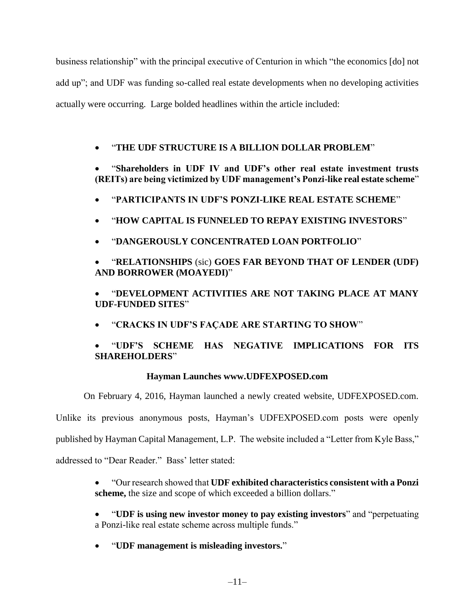business relationship" with the principal executive of Centurion in which "the economics [do] not add up"; and UDF was funding so-called real estate developments when no developing activities actually were occurring. Large bolded headlines within the article included:

# "**THE UDF STRUCTURE IS A BILLION DOLLAR PROBLEM**"

 "**Shareholders in UDF IV and UDF's other real estate investment trusts (REITs) are being victimized by UDF management's Ponzi-like real estate scheme**"

- "**PARTICIPANTS IN UDF'S PONZI-LIKE REAL ESTATE SCHEME**"
- "**HOW CAPITAL IS FUNNELED TO REPAY EXISTING INVESTORS**"
- "**DANGEROUSLY CONCENTRATED LOAN PORTFOLIO**"
- "**RELATIONSHIPS** (sic) **GOES FAR BEYOND THAT OF LENDER (UDF) AND BORROWER (MOAYEDI)**"

 "**DEVELOPMENT ACTIVITIES ARE NOT TAKING PLACE AT MANY UDF-FUNDED SITES**"

"**CRACKS IN UDF'S FAÇADE ARE STARTING TO SHOW**"

# "**UDF'S SCHEME HAS NEGATIVE IMPLICATIONS FOR ITS SHAREHOLDERS**"

# **Hayman Launches www.UDFEXPOSED.com**

On February 4, 2016, Hayman launched a newly created website, UDFEXPOSED.com.

Unlike its previous anonymous posts, Hayman's UDFEXPOSED.com posts were openly

published by Hayman Capital Management, L.P. The website included a "Letter from Kyle Bass,"

addressed to "Dear Reader." Bass' letter stated:

 "Our research showed that **UDF exhibited characteristics consistent with a Ponzi scheme,** the size and scope of which exceeded a billion dollars."

- "**UDF is using new investor money to pay existing investors**" and "perpetuating a Ponzi-like real estate scheme across multiple funds."
- "**UDF management is misleading investors.**"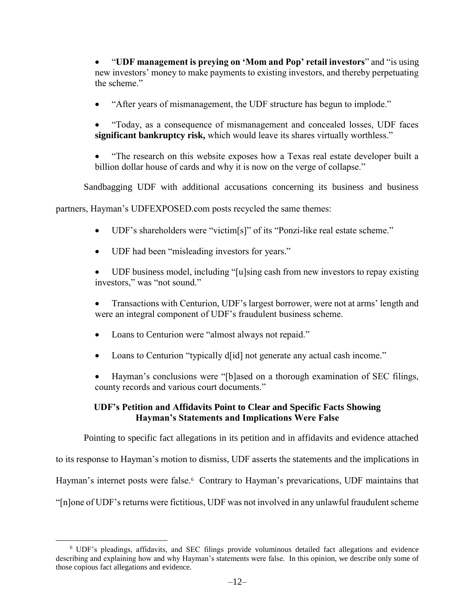"**UDF management is preying on 'Mom and Pop' retail investors**" and "is using new investors' money to make payments to existing investors, and thereby perpetuating the scheme."

"After years of mismanagement, the UDF structure has begun to implode."

 "Today, as a consequence of mismanagement and concealed losses, UDF faces **significant bankruptcy risk,** which would leave its shares virtually worthless."

 "The research on this website exposes how a Texas real estate developer built a billion dollar house of cards and why it is now on the verge of collapse."

Sandbagging UDF with additional accusations concerning its business and business

partners, Hayman's UDFEXPOSED.com posts recycled the same themes:

- UDF's shareholders were "victim[s]" of its "Ponzi-like real estate scheme."
- UDF had been "misleading investors for years."

 UDF business model, including "[u]sing cash from new investors to repay existing investors," was "not sound."

- Transactions with Centurion, UDF's largest borrower, were not at arms' length and were an integral component of UDF's fraudulent business scheme.
- Loans to Centurion were "almost always not repaid."
- Loans to Centurion "typically d[id] not generate any actual cash income."
- Hayman's conclusions were "[b]ased on a thorough examination of SEC filings, county records and various court documents."

# **UDF's Petition and Affidavits Point to Clear and Specific Facts Showing Hayman's Statements and Implications Were False**

Pointing to specific fact allegations in its petition and in affidavits and evidence attached

to its response to Hayman's motion to dismiss, UDF asserts the statements and the implications in

Hayman's internet posts were false.<sup>6</sup> Contrary to Hayman's prevarications, UDF maintains that

"[n]one of UDF's returns were fictitious, UDF was not involved in any unlawful fraudulent scheme

<sup>6</sup> UDF's pleadings, affidavits, and SEC filings provide voluminous detailed fact allegations and evidence describing and explaining how and why Hayman's statements were false. In this opinion, we describe only some of those copious fact allegations and evidence.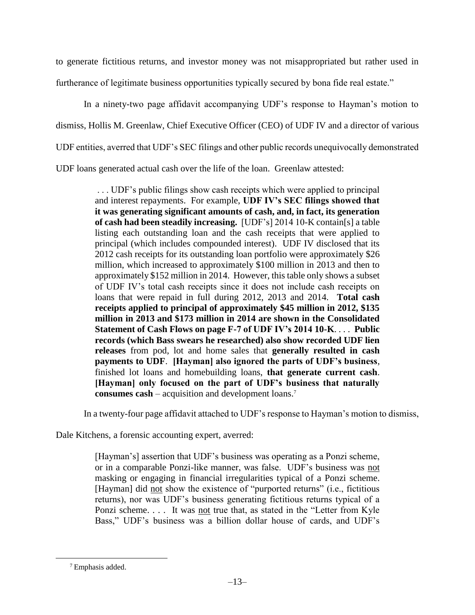to generate fictitious returns, and investor money was not misappropriated but rather used in furtherance of legitimate business opportunities typically secured by bona fide real estate."

In a ninety-two page affidavit accompanying UDF's response to Hayman's motion to dismiss, Hollis M. Greenlaw, Chief Executive Officer (CEO) of UDF IV and a director of various UDF entities, averred that UDF's SEC filings and other public records unequivocally demonstrated UDF loans generated actual cash over the life of the loan. Greenlaw attested:

> . . . UDF's public filings show cash receipts which were applied to principal and interest repayments. For example, **UDF IV's SEC filings showed that it was generating significant amounts of cash, and, in fact, its generation of cash had been steadily increasing.** [UDF's] 2014 10-K contain[s] a table listing each outstanding loan and the cash receipts that were applied to principal (which includes compounded interest). UDF IV disclosed that its 2012 cash receipts for its outstanding loan portfolio were approximately \$26 million, which increased to approximately \$100 million in 2013 and then to approximately \$152 million in 2014. However, this table only shows a subset of UDF IV's total cash receipts since it does not include cash receipts on loans that were repaid in full during 2012, 2013 and 2014. **Total cash receipts applied to principal of approximately \$45 million in 2012, \$135 million in 2013 and \$173 million in 2014 are shown in the Consolidated Statement of Cash Flows on page F-7 of UDF IV's 2014 10-K**. . . . **Public records (which Bass swears he researched) also show recorded UDF lien releases** from pod, lot and home sales that **generally resulted in cash payments to UDF**. **[Hayman] also ignored the parts of UDF's business**, finished lot loans and homebuilding loans, **that generate current cash**. **[Hayman] only focused on the part of UDF's business that naturally consumes cash** – acquisition and development loans.<sup>7</sup>

In a twenty-four page affidavit attached to UDF's response to Hayman's motion to dismiss,

Dale Kitchens, a forensic accounting expert, averred:

[Hayman's] assertion that UDF's business was operating as a Ponzi scheme, or in a comparable Ponzi-like manner, was false. UDF's business was not masking or engaging in financial irregularities typical of a Ponzi scheme. [Hayman] did not show the existence of "purported returns" (i.e., fictitious returns), nor was UDF's business generating fictitious returns typical of a Ponzi scheme. . . . It was not true that, as stated in the "Letter from Kyle" Bass," UDF's business was a billion dollar house of cards, and UDF's

<sup>7</sup> Emphasis added.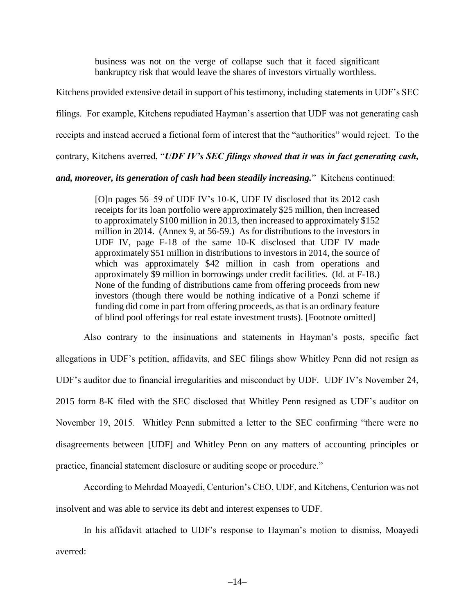business was not on the verge of collapse such that it faced significant bankruptcy risk that would leave the shares of investors virtually worthless.

Kitchens provided extensive detail in support of his testimony, including statements in UDF's SEC filings. For example, Kitchens repudiated Hayman's assertion that UDF was not generating cash receipts and instead accrued a fictional form of interest that the "authorities" would reject. To the contrary, Kitchens averred, "*UDF IV's SEC filings showed that it was in fact generating cash,* 

*and, moreover, its generation of cash had been steadily increasing.*" Kitchens continued:

[O]n pages 56–59 of UDF IV's 10-K, UDF IV disclosed that its 2012 cash receipts for its loan portfolio were approximately \$25 million, then increased to approximately \$100 million in 2013, then increased to approximately \$152 million in 2014. (Annex 9, at 56-59.) As for distributions to the investors in UDF IV, page F-18 of the same 10-K disclosed that UDF IV made approximately \$51 million in distributions to investors in 2014, the source of which was approximately \$42 million in cash from operations and approximately \$9 million in borrowings under credit facilities. (Id. at F-18.) None of the funding of distributions came from offering proceeds from new investors (though there would be nothing indicative of a Ponzi scheme if funding did come in part from offering proceeds, as that is an ordinary feature of blind pool offerings for real estate investment trusts). [Footnote omitted]

Also contrary to the insinuations and statements in Hayman's posts, specific fact allegations in UDF's petition, affidavits, and SEC filings show Whitley Penn did not resign as UDF's auditor due to financial irregularities and misconduct by UDF. UDF IV's November 24, 2015 form 8-K filed with the SEC disclosed that Whitley Penn resigned as UDF's auditor on November 19, 2015. Whitley Penn submitted a letter to the SEC confirming "there were no disagreements between [UDF] and Whitley Penn on any matters of accounting principles or practice, financial statement disclosure or auditing scope or procedure."

According to Mehrdad Moayedi, Centurion's CEO, UDF, and Kitchens, Centurion was not insolvent and was able to service its debt and interest expenses to UDF.

In his affidavit attached to UDF's response to Hayman's motion to dismiss, Moayedi averred: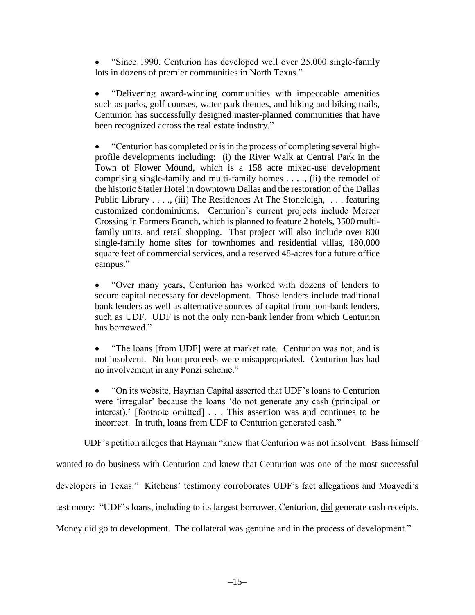"Since 1990, Centurion has developed well over 25,000 single-family lots in dozens of premier communities in North Texas."

 "Delivering award-winning communities with impeccable amenities such as parks, golf courses, water park themes, and hiking and biking trails, Centurion has successfully designed master-planned communities that have been recognized across the real estate industry."

 "Centurion has completed or is in the process of completing several highprofile developments including: (i) the River Walk at Central Park in the Town of Flower Mound, which is a 158 acre mixed-use development comprising single-family and multi-family homes . . . ., (ii) the remodel of the historic Statler Hotel in downtown Dallas and the restoration of the Dallas Public Library . . . ., (iii) The Residences At The Stoneleigh, . . . featuring customized condominiums. Centurion's current projects include Mercer Crossing in Farmers Branch, which is planned to feature 2 hotels, 3500 multifamily units, and retail shopping. That project will also include over 800 single-family home sites for townhomes and residential villas, 180,000 square feet of commercial services, and a reserved 48-acres for a future office campus."

 "Over many years, Centurion has worked with dozens of lenders to secure capital necessary for development. Those lenders include traditional bank lenders as well as alternative sources of capital from non-bank lenders, such as UDF. UDF is not the only non-bank lender from which Centurion has borrowed."

 "The loans [from UDF] were at market rate. Centurion was not, and is not insolvent. No loan proceeds were misappropriated. Centurion has had no involvement in any Ponzi scheme."

 "On its website, Hayman Capital asserted that UDF's loans to Centurion were 'irregular' because the loans 'do not generate any cash (principal or interest).' [footnote omitted] . . . This assertion was and continues to be incorrect. In truth, loans from UDF to Centurion generated cash."

UDF's petition alleges that Hayman "knew that Centurion was not insolvent. Bass himself

wanted to do business with Centurion and knew that Centurion was one of the most successful

developers in Texas." Kitchens' testimony corroborates UDF's fact allegations and Moayedi's

testimony: "UDF's loans, including to its largest borrower, Centurion, did generate cash receipts.

Money did go to development. The collateral was genuine and in the process of development."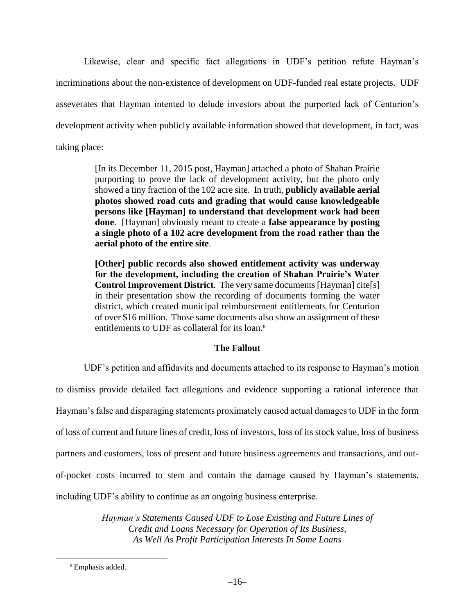Likewise, clear and specific fact allegations in UDF's petition refute Hayman's incriminations about the non-existence of development on UDF-funded real estate projects. UDF asseverates that Hayman intented to delude investors about the purported lack of Centurion's development activity when publicly available information showed that development, in fact, was taking place:

> [In its December 11, 2015 post, Hayman] attached a photo of Shahan Prairie purporting to prove the lack of development activity, but the photo only showed a tiny fraction of the 102 acre site. In truth, **publicly available aerial photos showed road cuts and grading that would cause knowledgeable persons like [Hayman] to understand that development work had been done**. [Hayman] obviously meant to create a **false appearance by posting a single photo of a 102 acre development from the road rather than the aerial photo of the entire site**.

> **[Other] public records also showed entitlement activity was underway for the development, including the creation of Shahan Prairie's Water Control Improvement District**. The very same documents [Hayman] cite[s] in their presentation show the recording of documents forming the water district, which created municipal reimbursement entitlements for Centurion of over \$16 million. Those same documents also show an assignment of these entitlements to UDF as collateral for its loan.<sup>8</sup>

## **The Fallout**

UDF's petition and affidavits and documents attached to its response to Hayman's motion to dismiss provide detailed fact allegations and evidence supporting a rational inference that Hayman's false and disparaging statements proximately caused actual damages to UDF in the form of loss of current and future lines of credit, loss of investors, loss of its stock value, loss of business partners and customers, loss of present and future business agreements and transactions, and outof-pocket costs incurred to stem and contain the damage caused by Hayman's statements, including UDF's ability to continue as an ongoing business enterprise.

> *Hayman's Statements Caused UDF to Lose Existing and Future Lines of Credit and Loans Necessary for Operation of Its Business, As Well As Profit Participation Interests In Some Loans*

<sup>8</sup> Emphasis added.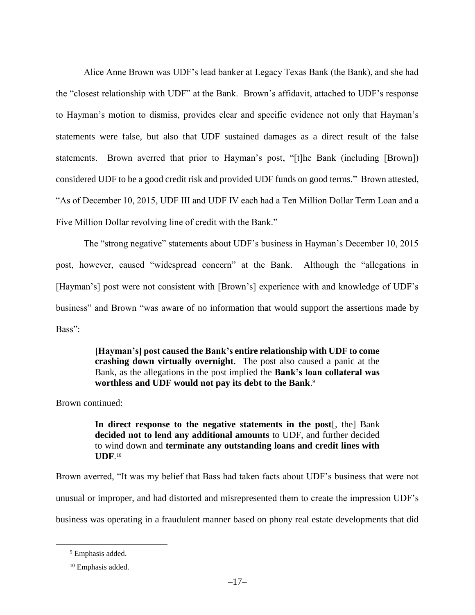Alice Anne Brown was UDF's lead banker at Legacy Texas Bank (the Bank), and she had the "closest relationship with UDF" at the Bank. Brown's affidavit, attached to UDF's response to Hayman's motion to dismiss, provides clear and specific evidence not only that Hayman's statements were false, but also that UDF sustained damages as a direct result of the false statements. Brown averred that prior to Hayman's post, "[t]he Bank (including [Brown]) considered UDF to be a good credit risk and provided UDF funds on good terms." Brown attested, "As of December 10, 2015, UDF III and UDF IV each had a Ten Million Dollar Term Loan and a Five Million Dollar revolving line of credit with the Bank."

The "strong negative" statements about UDF's business in Hayman's December 10, 2015 post, however, caused "widespread concern" at the Bank. Although the "allegations in [Hayman's] post were not consistent with [Brown's] experience with and knowledge of UDF's business" and Brown "was aware of no information that would support the assertions made by Bass":

> **[Hayman's] post caused the Bank's entire relationship with UDF to come crashing down virtually overnight**. The post also caused a panic at the Bank, as the allegations in the post implied the **Bank's loan collateral was worthless and UDF would not pay its debt to the Bank**. 9

Brown continued:

**In direct response to the negative statements in the post**[, the] Bank **decided not to lend any additional amounts** to UDF, and further decided to wind down and **terminate any outstanding loans and credit lines with UDF**. 10

Brown averred, "It was my belief that Bass had taken facts about UDF's business that were not unusual or improper, and had distorted and misrepresented them to create the impression UDF's business was operating in a fraudulent manner based on phony real estate developments that did

<sup>&</sup>lt;sup>9</sup> Emphasis added.

<sup>10</sup> Emphasis added.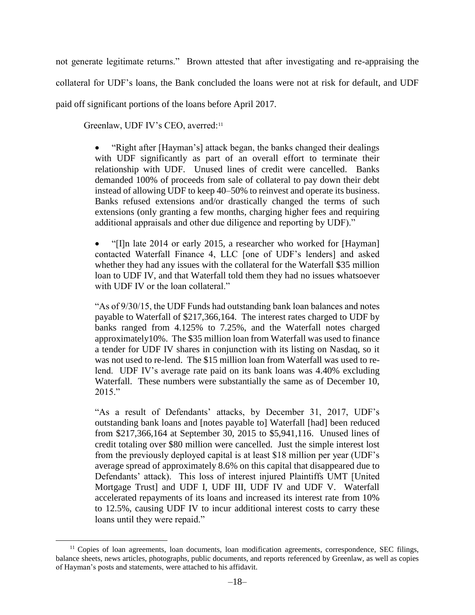not generate legitimate returns." Brown attested that after investigating and re-appraising the collateral for UDF's loans, the Bank concluded the loans were not at risk for default, and UDF paid off significant portions of the loans before April 2017.

Greenlaw, UDF IV's CEO, averred:<sup>11</sup>

 $\overline{a}$ 

 "Right after [Hayman's] attack began, the banks changed their dealings with UDF significantly as part of an overall effort to terminate their relationship with UDF. Unused lines of credit were cancelled. Banks demanded 100% of proceeds from sale of collateral to pay down their debt instead of allowing UDF to keep 40–50% to reinvest and operate its business. Banks refused extensions and/or drastically changed the terms of such extensions (only granting a few months, charging higher fees and requiring additional appraisals and other due diligence and reporting by UDF)."

 "[I]n late 2014 or early 2015, a researcher who worked for [Hayman] contacted Waterfall Finance 4, LLC [one of UDF's lenders] and asked whether they had any issues with the collateral for the Waterfall \$35 million loan to UDF IV, and that Waterfall told them they had no issues whatsoever with UDF IV or the loan collateral."

"As of 9/30/15, the UDF Funds had outstanding bank loan balances and notes payable to Waterfall of \$217,366,164. The interest rates charged to UDF by banks ranged from 4.125% to 7.25%, and the Waterfall notes charged approximately10%. The \$35 million loan from Waterfall was used to finance a tender for UDF IV shares in conjunction with its listing on Nasdaq, so it was not used to re-lend. The \$15 million loan from Waterfall was used to relend. UDF IV's average rate paid on its bank loans was 4.40% excluding Waterfall. These numbers were substantially the same as of December 10, 2015."

"As a result of Defendants' attacks, by December 31, 2017, UDF's outstanding bank loans and [notes payable to] Waterfall [had] been reduced from \$217,366,164 at September 30, 2015 to \$5,941,116. Unused lines of credit totaling over \$80 million were cancelled. Just the simple interest lost from the previously deployed capital is at least \$18 million per year (UDF's average spread of approximately 8.6% on this capital that disappeared due to Defendants' attack). This loss of interest injured Plaintiffs UMT [United Mortgage Trust] and UDF I, UDF III, UDF IV and UDF V. Waterfall accelerated repayments of its loans and increased its interest rate from 10% to 12.5%, causing UDF IV to incur additional interest costs to carry these loans until they were repaid."

<sup>&</sup>lt;sup>11</sup> Copies of loan agreements, loan documents, loan modification agreements, correspondence, SEC filings, balance sheets, news articles, photographs, public documents, and reports referenced by Greenlaw, as well as copies of Hayman's posts and statements, were attached to his affidavit.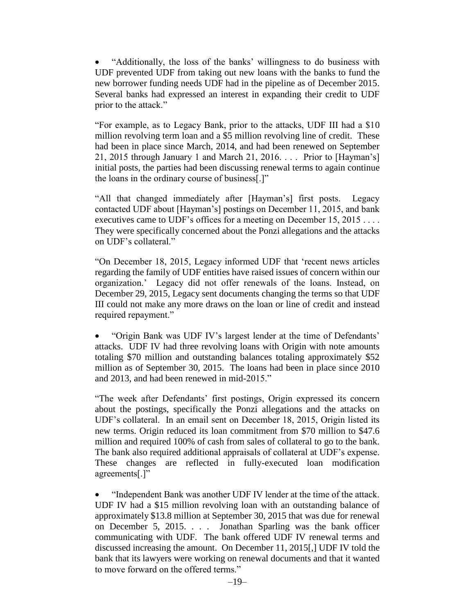"Additionally, the loss of the banks' willingness to do business with UDF prevented UDF from taking out new loans with the banks to fund the new borrower funding needs UDF had in the pipeline as of December 2015. Several banks had expressed an interest in expanding their credit to UDF prior to the attack."

"For example, as to Legacy Bank, prior to the attacks, UDF III had a \$10 million revolving term loan and a \$5 million revolving line of credit. These had been in place since March, 2014, and had been renewed on September 21, 2015 through January 1 and March 21, 2016. . . . Prior to [Hayman's] initial posts, the parties had been discussing renewal terms to again continue the loans in the ordinary course of business[.]"

"All that changed immediately after [Hayman's] first posts. Legacy contacted UDF about [Hayman's] postings on December 11, 2015, and bank executives came to UDF's offices for a meeting on December 15, 2015 . . . . They were specifically concerned about the Ponzi allegations and the attacks on UDF's collateral."

"On December 18, 2015, Legacy informed UDF that 'recent news articles regarding the family of UDF entities have raised issues of concern within our organization.' Legacy did not offer renewals of the loans. Instead, on December 29, 2015, Legacy sent documents changing the terms so that UDF III could not make any more draws on the loan or line of credit and instead required repayment."

 "Origin Bank was UDF IV's largest lender at the time of Defendants' attacks. UDF IV had three revolving loans with Origin with note amounts totaling \$70 million and outstanding balances totaling approximately \$52 million as of September 30, 2015. The loans had been in place since 2010 and 2013, and had been renewed in mid-2015."

"The week after Defendants' first postings, Origin expressed its concern about the postings, specifically the Ponzi allegations and the attacks on UDF's collateral. In an email sent on December 18, 2015, Origin listed its new terms. Origin reduced its loan commitment from \$70 million to \$47.6 million and required 100% of cash from sales of collateral to go to the bank. The bank also required additional appraisals of collateral at UDF's expense. These changes are reflected in fully-executed loan modification agreements[.]"

 "Independent Bank was another UDF IV lender at the time of the attack. UDF IV had a \$15 million revolving loan with an outstanding balance of approximately \$13.8 million at September 30, 2015 that was due for renewal on December 5, 2015. . . . Jonathan Sparling was the bank officer communicating with UDF. The bank offered UDF IV renewal terms and discussed increasing the amount. On December 11, 2015[,] UDF IV told the bank that its lawyers were working on renewal documents and that it wanted to move forward on the offered terms."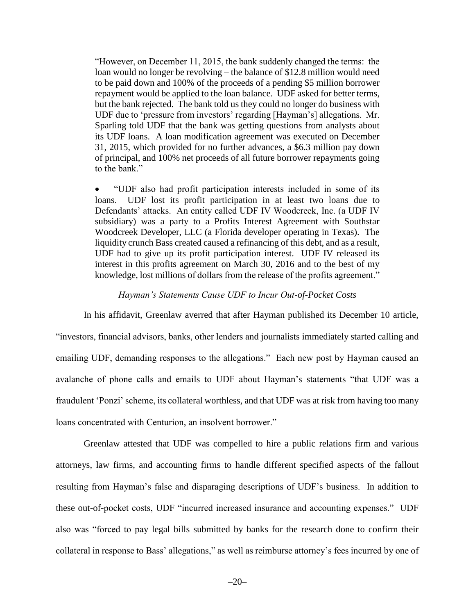"However, on December 11, 2015, the bank suddenly changed the terms: the loan would no longer be revolving – the balance of \$12.8 million would need to be paid down and 100% of the proceeds of a pending \$5 million borrower repayment would be applied to the loan balance. UDF asked for better terms, but the bank rejected. The bank told us they could no longer do business with UDF due to 'pressure from investors' regarding [Hayman's] allegations. Mr. Sparling told UDF that the bank was getting questions from analysts about its UDF loans. A loan modification agreement was executed on December 31, 2015, which provided for no further advances, a \$6.3 million pay down of principal, and 100% net proceeds of all future borrower repayments going to the bank."

 "UDF also had profit participation interests included in some of its loans. UDF lost its profit participation in at least two loans due to Defendants' attacks. An entity called UDF IV Woodcreek, Inc. (a UDF IV subsidiary) was a party to a Profits Interest Agreement with Southstar Woodcreek Developer, LLC (a Florida developer operating in Texas). The liquidity crunch Bass created caused a refinancing of this debt, and as a result, UDF had to give up its profit participation interest. UDF IV released its interest in this profits agreement on March 30, 2016 and to the best of my knowledge, lost millions of dollars from the release of the profits agreement."

#### *Hayman's Statements Cause UDF to Incur Out-of-Pocket Costs*

In his affidavit, Greenlaw averred that after Hayman published its December 10 article, "investors, financial advisors, banks, other lenders and journalists immediately started calling and emailing UDF, demanding responses to the allegations." Each new post by Hayman caused an avalanche of phone calls and emails to UDF about Hayman's statements "that UDF was a fraudulent 'Ponzi' scheme, its collateral worthless, and that UDF was at risk from having too many loans concentrated with Centurion, an insolvent borrower."

Greenlaw attested that UDF was compelled to hire a public relations firm and various attorneys, law firms, and accounting firms to handle different specified aspects of the fallout resulting from Hayman's false and disparaging descriptions of UDF's business. In addition to these out-of-pocket costs, UDF "incurred increased insurance and accounting expenses." UDF also was "forced to pay legal bills submitted by banks for the research done to confirm their collateral in response to Bass' allegations," as well as reimburse attorney's fees incurred by one of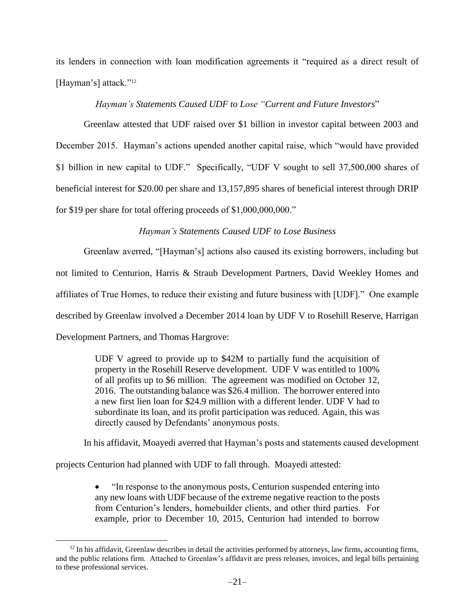its lenders in connection with loan modification agreements it "required as a direct result of [Hayman's] attack."<sup>12</sup>

## *Hayman's Statements Caused UDF to Lose "Current and Future Investors*"

Greenlaw attested that UDF raised over \$1 billion in investor capital between 2003 and December 2015. Hayman's actions upended another capital raise, which "would have provided \$1 billion in new capital to UDF." Specifically, "UDF V sought to sell 37,500,000 shares of beneficial interest for \$20.00 per share and 13,157,895 shares of beneficial interest through DRIP for \$19 per share for total offering proceeds of  $$1,000,000,000."$ 

## *Hayman's Statements Caused UDF to Lose Business*

Greenlaw averred, "[Hayman's] actions also caused its existing borrowers, including but not limited to Centurion, Harris & Straub Development Partners, David Weekley Homes and affiliates of True Homes, to reduce their existing and future business with [UDF]." One example described by Greenlaw involved a December 2014 loan by UDF V to Rosehill Reserve, Harrigan Development Partners, and Thomas Hargrove:

> UDF V agreed to provide up to \$42M to partially fund the acquisition of property in the Rosehill Reserve development. UDF V was entitled to 100% of all profits up to \$6 million. The agreement was modified on October 12, 2016. The outstanding balance was \$26.4 million. The borrower entered into a new first lien loan for \$24.9 million with a different lender. UDF V had to subordinate its loan, and its profit participation was reduced. Again, this was directly caused by Defendants' anonymous posts.

In his affidavit, Moayedi averred that Hayman's posts and statements caused development

projects Centurion had planned with UDF to fall through. Moayedi attested:

 $\overline{a}$ 

 "In response to the anonymous posts, Centurion suspended entering into any new loans with UDF because of the extreme negative reaction to the posts from Centurion's lenders, homebuilder clients, and other third parties. For example, prior to December 10, 2015, Centurion had intended to borrow

 $12$  In his affidavit, Greenlaw describes in detail the activities performed by attorneys, law firms, accounting firms, and the public relations firm. Attached to Greenlaw's affidavit are press releases, invoices, and legal bills pertaining to these professional services.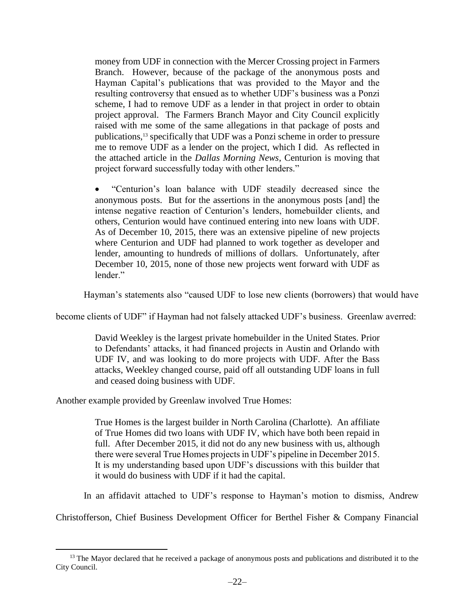money from UDF in connection with the Mercer Crossing project in Farmers Branch. However, because of the package of the anonymous posts and Hayman Capital's publications that was provided to the Mayor and the resulting controversy that ensued as to whether UDF's business was a Ponzi scheme, I had to remove UDF as a lender in that project in order to obtain project approval. The Farmers Branch Mayor and City Council explicitly raised with me some of the same allegations in that package of posts and publications,<sup>13</sup> specifically that UDF was a Ponzi scheme in order to pressure me to remove UDF as a lender on the project, which I did. As reflected in the attached article in the *Dallas Morning News*, Centurion is moving that project forward successfully today with other lenders."

 "Centurion's loan balance with UDF steadily decreased since the anonymous posts. But for the assertions in the anonymous posts [and] the intense negative reaction of Centurion's lenders, homebuilder clients, and others, Centurion would have continued entering into new loans with UDF. As of December 10, 2015, there was an extensive pipeline of new projects where Centurion and UDF had planned to work together as developer and lender, amounting to hundreds of millions of dollars. Unfortunately, after December 10, 2015, none of those new projects went forward with UDF as lender."

Hayman's statements also "caused UDF to lose new clients (borrowers) that would have

become clients of UDF" if Hayman had not falsely attacked UDF's business. Greenlaw averred:

David Weekley is the largest private homebuilder in the United States. Prior to Defendants' attacks, it had financed projects in Austin and Orlando with UDF IV, and was looking to do more projects with UDF. After the Bass attacks, Weekley changed course, paid off all outstanding UDF loans in full and ceased doing business with UDF.

Another example provided by Greenlaw involved True Homes:

 $\overline{a}$ 

True Homes is the largest builder in North Carolina (Charlotte). An affiliate of True Homes did two loans with UDF IV, which have both been repaid in full. After December 2015, it did not do any new business with us, although there were several True Homes projects in UDF's pipeline in December 2015. It is my understanding based upon UDF's discussions with this builder that it would do business with UDF if it had the capital.

In an affidavit attached to UDF's response to Hayman's motion to dismiss, Andrew

Christofferson, Chief Business Development Officer for Berthel Fisher & Company Financial

<sup>&</sup>lt;sup>13</sup> The Mayor declared that he received a package of anonymous posts and publications and distributed it to the City Council.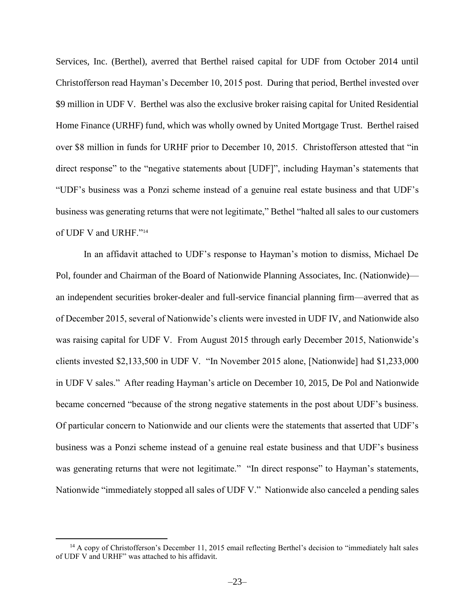Services, Inc. (Berthel), averred that Berthel raised capital for UDF from October 2014 until Christofferson read Hayman's December 10, 2015 post. During that period, Berthel invested over \$9 million in UDF V. Berthel was also the exclusive broker raising capital for United Residential Home Finance (URHF) fund, which was wholly owned by United Mortgage Trust. Berthel raised over \$8 million in funds for URHF prior to December 10, 2015. Christofferson attested that "in direct response" to the "negative statements about [UDF]", including Hayman's statements that "UDF's business was a Ponzi scheme instead of a genuine real estate business and that UDF's business was generating returns that were not legitimate," Bethel "halted all sales to our customers of UDF V and URHF."<sup>14</sup>

In an affidavit attached to UDF's response to Hayman's motion to dismiss, Michael De Pol, founder and Chairman of the Board of Nationwide Planning Associates, Inc. (Nationwide) an independent securities broker-dealer and full-service financial planning firm—averred that as of December 2015, several of Nationwide's clients were invested in UDF IV, and Nationwide also was raising capital for UDF V. From August 2015 through early December 2015, Nationwide's clients invested \$2,133,500 in UDF V. "In November 2015 alone, [Nationwide] had \$1,233,000 in UDF V sales." After reading Hayman's article on December 10, 2015, De Pol and Nationwide became concerned "because of the strong negative statements in the post about UDF's business. Of particular concern to Nationwide and our clients were the statements that asserted that UDF's business was a Ponzi scheme instead of a genuine real estate business and that UDF's business was generating returns that were not legitimate." "In direct response" to Hayman's statements, Nationwide "immediately stopped all sales of UDF V." Nationwide also canceled a pending sales

<sup>&</sup>lt;sup>14</sup> A copy of Christofferson's December 11, 2015 email reflecting Berthel's decision to "immediately halt sales of UDF V and URHF" was attached to his affidavit.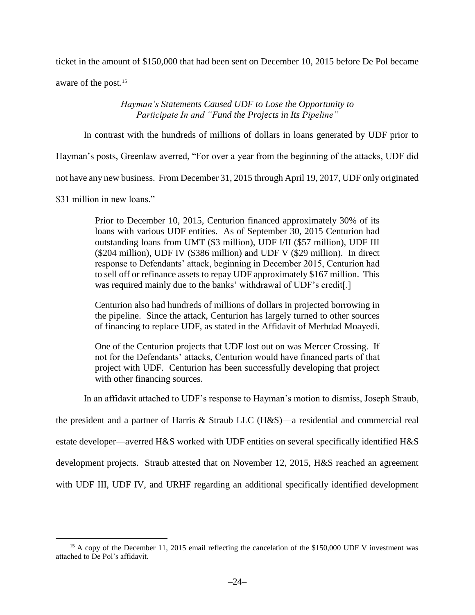ticket in the amount of \$150,000 that had been sent on December 10, 2015 before De Pol became

aware of the post.<sup>15</sup>

*Hayman's Statements Caused UDF to Lose the Opportunity to Participate In and "Fund the Projects in Its Pipeline"*

In contrast with the hundreds of millions of dollars in loans generated by UDF prior to

Hayman's posts, Greenlaw averred, "For over a year from the beginning of the attacks, UDF did

not have any new business. From December 31, 2015 through April 19, 2017, UDF only originated

\$31 million in new loans."

 $\overline{a}$ 

Prior to December 10, 2015, Centurion financed approximately 30% of its loans with various UDF entities. As of September 30, 2015 Centurion had outstanding loans from UMT (\$3 million), UDF I/II (\$57 million), UDF III (\$204 million), UDF IV (\$386 million) and UDF V (\$29 million). In direct response to Defendants' attack, beginning in December 2015, Centurion had to sell off or refinance assets to repay UDF approximately \$167 million. This was required mainly due to the banks' withdrawal of UDF's credit[.]

Centurion also had hundreds of millions of dollars in projected borrowing in the pipeline. Since the attack, Centurion has largely turned to other sources of financing to replace UDF, as stated in the Affidavit of Merhdad Moayedi.

One of the Centurion projects that UDF lost out on was Mercer Crossing. If not for the Defendants' attacks, Centurion would have financed parts of that project with UDF. Centurion has been successfully developing that project with other financing sources.

In an affidavit attached to UDF's response to Hayman's motion to dismiss, Joseph Straub,

the president and a partner of Harris & Straub LLC (H&S)—a residential and commercial real estate developer—averred H&S worked with UDF entities on several specifically identified H&S development projects. Straub attested that on November 12, 2015, H&S reached an agreement

with UDF III, UDF IV, and URHF regarding an additional specifically identified development

<sup>&</sup>lt;sup>15</sup> A copy of the December 11, 2015 email reflecting the cancelation of the \$150,000 UDF V investment was attached to De Pol's affidavit.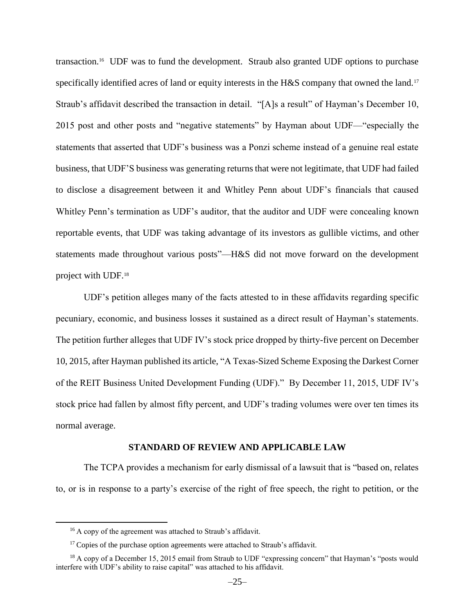transaction.<sup>16</sup> UDF was to fund the development. Straub also granted UDF options to purchase specifically identified acres of land or equity interests in the H&S company that owned the land.<sup>17</sup> Straub's affidavit described the transaction in detail. "[A]s a result" of Hayman's December 10, 2015 post and other posts and "negative statements" by Hayman about UDF—"especially the statements that asserted that UDF's business was a Ponzi scheme instead of a genuine real estate business, that UDF'S business was generating returns that were not legitimate, that UDF had failed to disclose a disagreement between it and Whitley Penn about UDF's financials that caused Whitley Penn's termination as UDF's auditor, that the auditor and UDF were concealing known reportable events, that UDF was taking advantage of its investors as gullible victims, and other statements made throughout various posts"—H&S did not move forward on the development project with UDF.<sup>18</sup>

UDF's petition alleges many of the facts attested to in these affidavits regarding specific pecuniary, economic, and business losses it sustained as a direct result of Hayman's statements. The petition further alleges that UDF IV's stock price dropped by thirty-five percent on December 10, 2015, after Hayman published its article, "A Texas-Sized Scheme Exposing the Darkest Corner of the REIT Business United Development Funding (UDF)." By December 11, 2015, UDF IV's stock price had fallen by almost fifty percent, and UDF's trading volumes were over ten times its normal average.

#### **STANDARD OF REVIEW AND APPLICABLE LAW**

The TCPA provides a mechanism for early dismissal of a lawsuit that is "based on, relates to, or is in response to a party's exercise of the right of free speech, the right to petition, or the

<sup>&</sup>lt;sup>16</sup> A copy of the agreement was attached to Straub's affidavit.

 $17$  Copies of the purchase option agreements were attached to Straub's affidavit.

<sup>&</sup>lt;sup>18</sup> A copy of a December 15, 2015 email from Straub to UDF "expressing concern" that Hayman's "posts would interfere with UDF's ability to raise capital" was attached to his affidavit.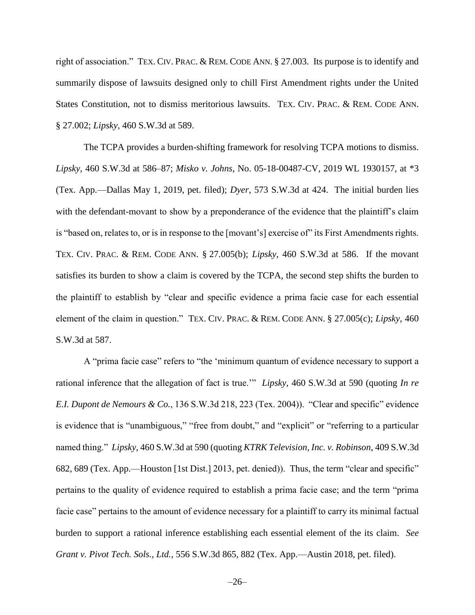right of association." TEX. CIV. PRAC. & REM. CODE ANN. § 27.003. Its purpose is to identify and summarily dispose of lawsuits designed only to chill First Amendment rights under the United States Constitution, not to dismiss meritorious lawsuits. TEX. CIV. PRAC. & REM. CODE ANN. § 27.002; *Lipsky*, 460 S.W.3d at 589.

The TCPA provides a burden-shifting framework for resolving TCPA motions to dismiss. *Lipsky*, 460 S.W.3d at 586–87; *Misko v. Johns*, No. 05-18-00487-CV, 2019 WL 1930157, at \*3 (Tex. App.—Dallas May 1, 2019, pet. filed); *Dyer*, 573 S.W.3d at 424. The initial burden lies with the defendant-movant to show by a preponderance of the evidence that the plaintiff's claim is "based on, relates to, or is in response to the [movant's] exercise of" its First Amendments rights. TEX. CIV. PRAC. & REM. CODE ANN. § 27.005(b); *Lipsky*, 460 S.W.3d at 586. If the movant satisfies its burden to show a claim is covered by the TCPA, the second step shifts the burden to the plaintiff to establish by "clear and specific evidence a prima facie case for each essential element of the claim in question." TEX. CIV. PRAC. & REM. CODE ANN. § 27.005(c); *Lipsky*, 460 S.W.3d at 587.

A "prima facie case" refers to "the 'minimum quantum of evidence necessary to support a rational inference that the allegation of fact is true.'" *Lipsky*, 460 S.W.3d at 590 (quoting *In re E.I. Dupont de Nemours & Co.*, 136 S.W.3d 218, 223 (Tex. 2004)). "Clear and specific" evidence is evidence that is "unambiguous," "free from doubt," and "explicit" or "referring to a particular named thing." *Lipsky*, 460 S.W.3d at 590 (quoting *KTRK Television, Inc. v. Robinson*, 409 S.W.3d 682, 689 (Tex. App.—Houston [1st Dist.] 2013, pet. denied)). Thus, the term "clear and specific" pertains to the quality of evidence required to establish a prima facie case; and the term "prima facie case" pertains to the amount of evidence necessary for a plaintiff to carry its minimal factual burden to support a rational inference establishing each essential element of the its claim. *See Grant v. Pivot Tech. Sols., Ltd.*, 556 S.W.3d 865, 882 (Tex. App.—Austin 2018, pet. filed).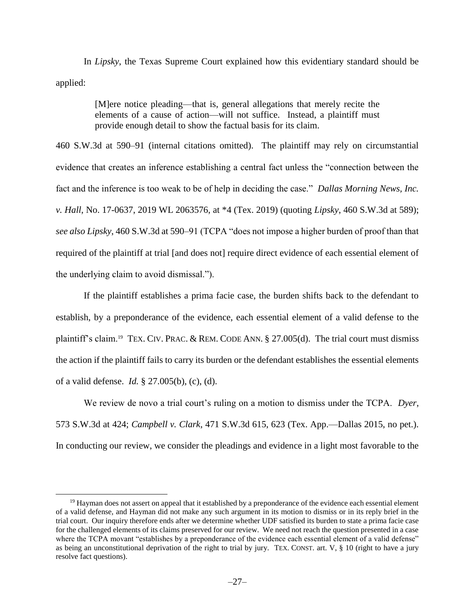In *Lipsky*, the Texas Supreme Court explained how this evidentiary standard should be applied:

> [M]ere notice pleading—that is, general allegations that merely recite the elements of a cause of action—will not suffice. Instead, a plaintiff must provide enough detail to show the factual basis for its claim.

460 S.W.3d at 590–91 (internal citations omitted). The plaintiff may rely on circumstantial evidence that creates an inference establishing a central fact unless the "connection between the fact and the inference is too weak to be of help in deciding the case." *Dallas Morning News, Inc. v. Hall*, No. 17-0637, 2019 WL 2063576, at \*4 (Tex. 2019) (quoting *Lipsky*, 460 S.W.3d at 589); *see also Lipsky*, 460 S.W.3d at 590–91 (TCPA "does not impose a higher burden of proof than that required of the plaintiff at trial [and does not] require direct evidence of each essential element of the underlying claim to avoid dismissal.").

If the plaintiff establishes a prima facie case, the burden shifts back to the defendant to establish, by a preponderance of the evidence, each essential element of a valid defense to the plaintiff's claim.<sup>19</sup> TEX. CIV. PRAC. & REM. CODE ANN. § 27.005(d). The trial court must dismiss the action if the plaintiff fails to carry its burden or the defendant establishes the essential elements of a valid defense. *Id.* § 27.005(b), (c), (d).

We review de novo a trial court's ruling on a motion to dismiss under the TCPA. *Dyer*, 573 S.W.3d at 424; *Campbell v. Clark*, 471 S.W.3d 615, 623 (Tex. App.—Dallas 2015, no pet.). In conducting our review, we consider the pleadings and evidence in a light most favorable to the

<sup>&</sup>lt;sup>19</sup> Hayman does not assert on appeal that it established by a preponderance of the evidence each essential element of a valid defense, and Hayman did not make any such argument in its motion to dismiss or in its reply brief in the trial court. Our inquiry therefore ends after we determine whether UDF satisfied its burden to state a prima facie case for the challenged elements of its claims preserved for our review. We need not reach the question presented in a case where the TCPA movant "establishes by a preponderance of the evidence each essential element of a valid defense" as being an unconstitutional deprivation of the right to trial by jury. TEX. CONST. art.  $V$ ,  $\S$  10 (right to have a jury resolve fact questions).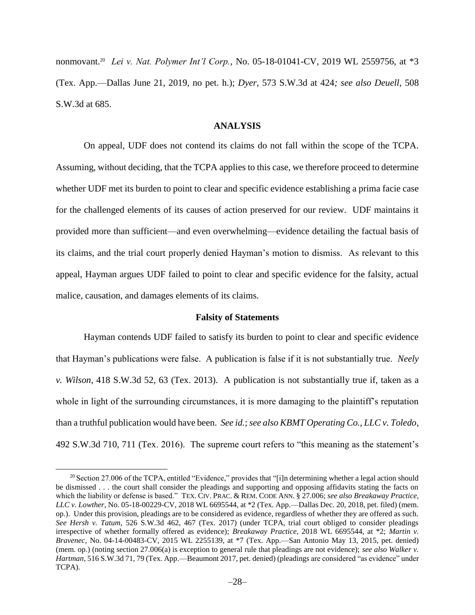nonmovant.<sup>20</sup> *Lei v. Nat. Polymer Int'l Corp.*, No. 05-18-01041-CV, 2019 WL 2559756, at \*3 (Tex. App.—Dallas June 21, 2019, no pet. h.); *Dyer*, 573 S.W.3d at 424*; see also Deuell*, 508 S.W.3d at 685.

#### **ANALYSIS**

On appeal, UDF does not contend its claims do not fall within the scope of the TCPA. Assuming, without deciding, that the TCPA applies to this case, we therefore proceed to determine whether UDF met its burden to point to clear and specific evidence establishing a prima facie case for the challenged elements of its causes of action preserved for our review. UDF maintains it provided more than sufficient—and even overwhelming—evidence detailing the factual basis of its claims, and the trial court properly denied Hayman's motion to dismiss. As relevant to this appeal, Hayman argues UDF failed to point to clear and specific evidence for the falsity, actual malice, causation, and damages elements of its claims.

#### **Falsity of Statements**

Hayman contends UDF failed to satisfy its burden to point to clear and specific evidence that Hayman's publications were false. A publication is false if it is not substantially true. *Neely v. Wilson*, 418 S.W.3d 52, 63 (Tex. 2013). A publication is not substantially true if, taken as a whole in light of the surrounding circumstances, it is more damaging to the plaintiff's reputation than a truthful publication would have been. *See id.*; *see also KBMT Operating Co., LLC v. Toledo*, 492 S.W.3d 710, 711 (Tex. 2016). The supreme court refers to "this meaning as the statement's

<sup>&</sup>lt;sup>20</sup> Section 27.006 of the TCPA, entitled "Evidence," provides that "[i]n determining whether a legal action should be dismissed . . . the court shall consider the pleadings and supporting and opposing affidavits stating the facts on which the liability or defense is based." TEX. CIV. PRAC. & REM. CODE ANN. § 27.006; *see also Breakaway Practice, LLC v. Lowther*, No. 05-18-00229-CV, 2018 WL 6695544, at \*2 (Tex. App.—Dallas Dec. 20, 2018, pet. filed) (mem. op.). Under this provision, pleadings are to be considered as evidence, regardless of whether they are offered as such. *See Hersh v. Tatum*, 526 S.W.3d 462, 467 (Tex. 2017) (under TCPA, trial court obliged to consider pleadings irrespective of whether formally offered as evidence); *Breakaway Practice*, 2018 WL 6695544, at \*2; *Martin v. Bravenec*, No. 04-14-00483-CV, 2015 WL 2255139, at \*7 (Tex. App.—San Antonio May 13, 2015, pet. denied) (mem. op.) (noting section 27.006(a) is exception to general rule that pleadings are not evidence); *see also Walker v. Hartman*, 516 S.W.3d 71, 79 (Tex. App.—Beaumont 2017, pet. denied) (pleadings are considered "as evidence" under TCPA).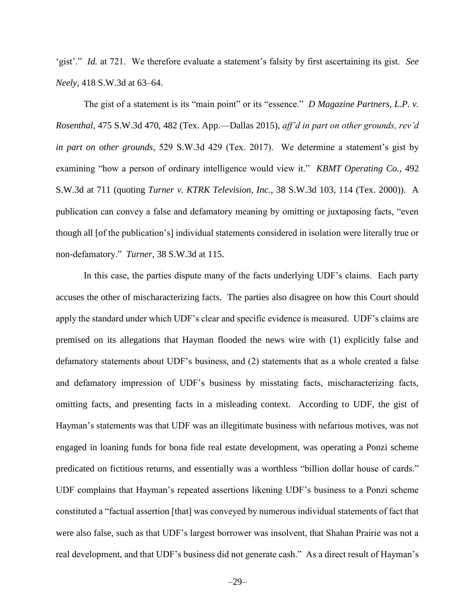'gist'." *Id.* at 721. We therefore evaluate a statement's falsity by first ascertaining its gist. *See Neely*, 418 S.W.3d at 63–64.

The gist of a statement is its "main point" or its "essence." *D Magazine Partners, L.P. v. Rosenthal*, 475 S.W.3d 470, 482 (Tex. App.—Dallas 2015), *aff'd in part on other grounds, rev'd in part on other grounds*, 529 S.W.3d 429 (Tex. 2017). We determine a statement's gist by examining "how a person of ordinary intelligence would view it." *KBMT Operating Co.*, 492 S.W.3d at 711 (quoting *Turner v. KTRK Television, Inc.*, 38 S.W.3d 103, 114 (Tex. 2000)). A publication can convey a false and defamatory meaning by omitting or juxtaposing facts, "even though all [of the publication's] individual statements considered in isolation were literally true or non-defamatory." *Turner*, 38 S.W.3d at 115.

In this case, the parties dispute many of the facts underlying UDF's claims. Each party accuses the other of mischaracterizing facts. The parties also disagree on how this Court should apply the standard under which UDF's clear and specific evidence is measured. UDF's claims are premised on its allegations that Hayman flooded the news wire with (1) explicitly false and defamatory statements about UDF's business, and (2) statements that as a whole created a false and defamatory impression of UDF's business by misstating facts, mischaracterizing facts, omitting facts, and presenting facts in a misleading context. According to UDF, the gist of Hayman's statements was that UDF was an illegitimate business with nefarious motives, was not engaged in loaning funds for bona fide real estate development, was operating a Ponzi scheme predicated on fictitious returns, and essentially was a worthless "billion dollar house of cards." UDF complains that Hayman's repeated assertions likening UDF's business to a Ponzi scheme constituted a "factual assertion [that] was conveyed by numerous individual statements of fact that were also false, such as that UDF's largest borrower was insolvent, that Shahan Prairie was not a real development, and that UDF's business did not generate cash." As a direct result of Hayman's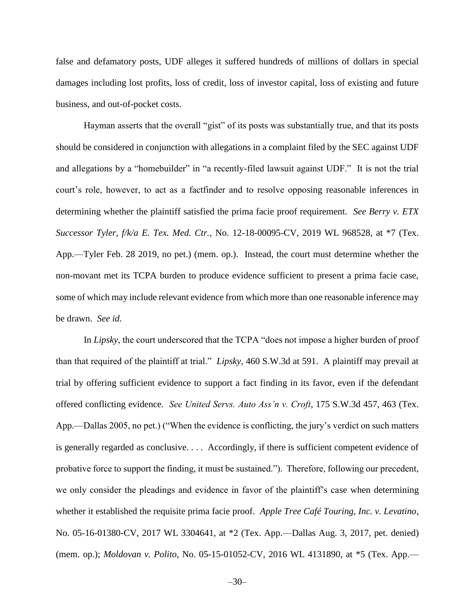false and defamatory posts, UDF alleges it suffered hundreds of millions of dollars in special damages including lost profits, loss of credit, loss of investor capital, loss of existing and future business, and out-of-pocket costs.

Hayman asserts that the overall "gist" of its posts was substantially true, and that its posts should be considered in conjunction with allegations in a complaint filed by the SEC against UDF and allegations by a "homebuilder" in "a recently-filed lawsuit against UDF." It is not the trial court's role, however, to act as a factfinder and to resolve opposing reasonable inferences in determining whether the plaintiff satisfied the prima facie proof requirement. *See Berry v. ETX Successor Tyler, f/k/a E. Tex. Med. Ctr.*, No. 12-18-00095-CV, 2019 WL 968528, at \*7 (Tex. App.—Tyler Feb. 28 2019, no pet.) (mem. op.). Instead, the court must determine whether the non-movant met its TCPA burden to produce evidence sufficient to present a prima facie case, some of which may include relevant evidence from which more than one reasonable inference may be drawn. *See id.*

In *Lipsky*, the court underscored that the TCPA "does not impose a higher burden of proof than that required of the plaintiff at trial." *Lipsky*, 460 S.W.3d at 591. A plaintiff may prevail at trial by offering sufficient evidence to support a fact finding in its favor, even if the defendant offered conflicting evidence. *See United Servs. Auto Ass'n v. Croft*, 175 S.W.3d 457, 463 (Tex. App.—Dallas 2005, no pet.) ("When the evidence is conflicting, the jury's verdict on such matters is generally regarded as conclusive. . . . Accordingly, if there is sufficient competent evidence of probative force to support the finding, it must be sustained."). Therefore, following our precedent, we only consider the pleadings and evidence in favor of the plaintiff's case when determining whether it established the requisite prima facie proof. *Apple Tree Café Touring, Inc. v. Levatino*, No. 05-16-01380-CV, 2017 WL 3304641, at \*2 (Tex. App.—Dallas Aug. 3, 2017, pet. denied) (mem. op.); *Moldovan v. Polito*, No. 05-15-01052-CV, 2016 WL 4131890, at \*5 (Tex. App.—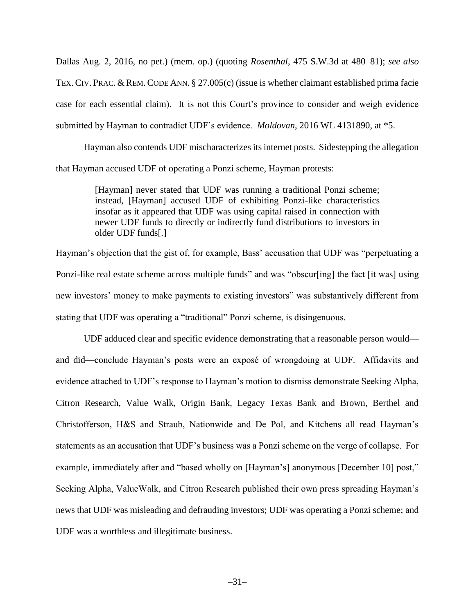Dallas Aug. 2, 2016, no pet.) (mem. op.) (quoting *Rosenthal*, 475 S.W.3d at 480–81); *see also* TEX. CIV. PRAC. & REM. CODE ANN. § 27.005(c) (issue is whether claimant established prima facie case for each essential claim). It is not this Court's province to consider and weigh evidence submitted by Hayman to contradict UDF's evidence. *Moldovan*, 2016 WL 4131890, at \*5.

Hayman also contends UDF mischaracterizes its internet posts. Sidestepping the allegation that Hayman accused UDF of operating a Ponzi scheme, Hayman protests:

> [Hayman] never stated that UDF was running a traditional Ponzi scheme; instead, [Hayman] accused UDF of exhibiting Ponzi-like characteristics insofar as it appeared that UDF was using capital raised in connection with newer UDF funds to directly or indirectly fund distributions to investors in older UDF funds[.]

Hayman's objection that the gist of, for example, Bass' accusation that UDF was "perpetuating a Ponzi-like real estate scheme across multiple funds" and was "obscur[ing] the fact [it was] using new investors' money to make payments to existing investors" was substantively different from stating that UDF was operating a "traditional" Ponzi scheme, is disingenuous.

UDF adduced clear and specific evidence demonstrating that a reasonable person would and did—conclude Hayman's posts were an exposé of wrongdoing at UDF. Affidavits and evidence attached to UDF's response to Hayman's motion to dismiss demonstrate Seeking Alpha, Citron Research, Value Walk, Origin Bank, Legacy Texas Bank and Brown, Berthel and Christofferson, H&S and Straub, Nationwide and De Pol, and Kitchens all read Hayman's statements as an accusation that UDF's business was a Ponzi scheme on the verge of collapse. For example, immediately after and "based wholly on [Hayman's] anonymous [December 10] post," Seeking Alpha, ValueWalk, and Citron Research published their own press spreading Hayman's news that UDF was misleading and defrauding investors; UDF was operating a Ponzi scheme; and UDF was a worthless and illegitimate business.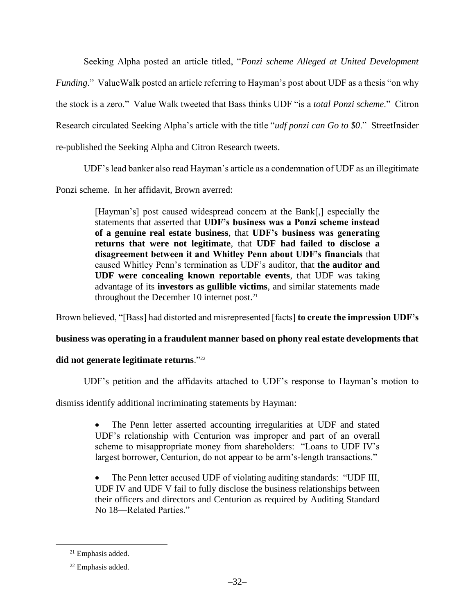Seeking Alpha posted an article titled, "*Ponzi scheme Alleged at United Development Funding*." ValueWalk posted an article referring to Hayman's post about UDF as a thesis "on why the stock is a zero." Value Walk tweeted that Bass thinks UDF "is a *total Ponzi scheme*." Citron Research circulated Seeking Alpha's article with the title "*udf ponzi can Go to \$0*." StreetInsider re-published the Seeking Alpha and Citron Research tweets.

UDF's lead banker also read Hayman's article as a condemnation of UDF as an illegitimate

Ponzi scheme. In her affidavit, Brown averred:

[Hayman's] post caused widespread concern at the Bank[,] especially the statements that asserted that **UDF's business was a Ponzi scheme instead of a genuine real estate business**, that **UDF's business was generating returns that were not legitimate**, that **UDF had failed to disclose a disagreement between it and Whitley Penn about UDF's financials** that caused Whitley Penn's termination as UDF's auditor, that **the auditor and UDF were concealing known reportable events**, that UDF was taking advantage of its **investors as gullible victims**, and similar statements made throughout the December 10 internet post.<sup>21</sup>

Brown believed, "[Bass] had distorted and misrepresented [facts] **to create the impression UDF's** 

# **business was operating in a fraudulent manner based on phony real estate developments that**

# **did not generate legitimate returns**."<sup>22</sup>

UDF's petition and the affidavits attached to UDF's response to Hayman's motion to

dismiss identify additional incriminating statements by Hayman:

- The Penn letter asserted accounting irregularities at UDF and stated UDF's relationship with Centurion was improper and part of an overall scheme to misappropriate money from shareholders: "Loans to UDF IV's largest borrower, Centurion, do not appear to be arm's-length transactions."
- The Penn letter accused UDF of violating auditing standards: "UDF III, UDF IV and UDF V fail to fully disclose the business relationships between their officers and directors and Centurion as required by Auditing Standard No 18—Related Parties."

<sup>21</sup> Emphasis added.

<sup>22</sup> Emphasis added.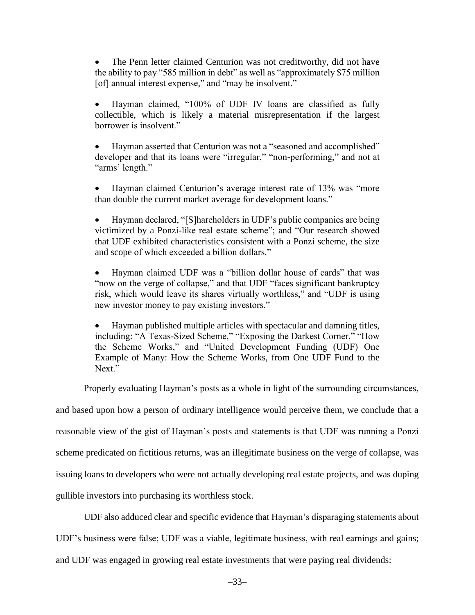The Penn letter claimed Centurion was not creditworthy, did not have the ability to pay "585 million in debt" as well as "approximately \$75 million [of] annual interest expense," and "may be insolvent."

 Hayman claimed, "100% of UDF IV loans are classified as fully collectible, which is likely a material misrepresentation if the largest borrower is insolvent."

 Hayman asserted that Centurion was not a "seasoned and accomplished" developer and that its loans were "irregular," "non-performing," and not at "arms' length."

• Hayman claimed Centurion's average interest rate of 13% was "more" than double the current market average for development loans."

 Hayman declared, "[S]hareholders in UDF's public companies are being victimized by a Ponzi-like real estate scheme"; and "Our research showed that UDF exhibited characteristics consistent with a Ponzi scheme, the size and scope of which exceeded a billion dollars."

 Hayman claimed UDF was a "billion dollar house of cards" that was "now on the verge of collapse," and that UDF "faces significant bankruptcy risk, which would leave its shares virtually worthless," and "UDF is using new investor money to pay existing investors."

 Hayman published multiple articles with spectacular and damning titles, including: "A Texas-Sized Scheme," "Exposing the Darkest Corner," "How the Scheme Works," and "United Development Funding (UDF) One Example of Many: How the Scheme Works, from One UDF Fund to the Next."

Properly evaluating Hayman's posts as a whole in light of the surrounding circumstances,

and based upon how a person of ordinary intelligence would perceive them, we conclude that a reasonable view of the gist of Hayman's posts and statements is that UDF was running a Ponzi scheme predicated on fictitious returns, was an illegitimate business on the verge of collapse, was issuing loans to developers who were not actually developing real estate projects, and was duping gullible investors into purchasing its worthless stock.

UDF also adduced clear and specific evidence that Hayman's disparaging statements about

UDF's business were false; UDF was a viable, legitimate business, with real earnings and gains;

and UDF was engaged in growing real estate investments that were paying real dividends: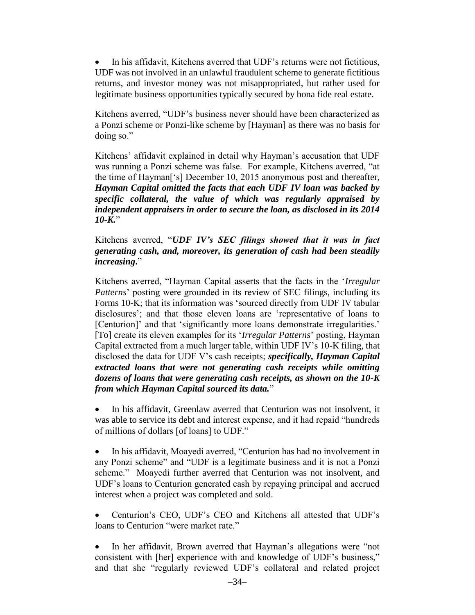In his affidavit, Kitchens averred that UDF's returns were not fictitious, UDF was not involved in an unlawful fraudulent scheme to generate fictitious returns, and investor money was not misappropriated, but rather used for legitimate business opportunities typically secured by bona fide real estate.

Kitchens averred, "UDF's business never should have been characterized as a Ponzi scheme or Ponzi-like scheme by [Hayman] as there was no basis for doing so."

Kitchens' affidavit explained in detail why Hayman's accusation that UDF was running a Ponzi scheme was false. For example, Kitchens averred, "at the time of Hayman['s] December 10, 2015 anonymous post and thereafter, *Hayman Capital omitted the facts that each UDF IV loan was backed by specific collateral, the value of which was regularly appraised by independent appraisers in order to secure the loan, as disclosed in its 2014 10-K.*"

Kitchens averred, "*UDF IV's SEC filings showed that it was in fact generating cash, and, moreover, its generation of cash had been steadily increasing***.**"

Kitchens averred, "Hayman Capital asserts that the facts in the '*Irregular Patterns*' posting were grounded in its review of SEC filings, including its Forms 10-K; that its information was 'sourced directly from UDF IV tabular disclosures'; and that those eleven loans are 'representative of loans to [Centurion]' and that 'significantly more loans demonstrate irregularities.' [To] create its eleven examples for its '*Irregular Patterns*' posting, Hayman Capital extracted from a much larger table, within UDF IV's 10-K filing, that disclosed the data for UDF V's cash receipts; *specifically, Hayman Capital extracted loans that were not generating cash receipts while omitting dozens of loans that were generating cash receipts, as shown on the 10-K from which Hayman Capital sourced its data.*"

 In his affidavit, Greenlaw averred that Centurion was not insolvent, it was able to service its debt and interest expense, and it had repaid "hundreds of millions of dollars [of loans] to UDF."

• In his affidavit, Moayedi averred, "Centurion has had no involvement in any Ponzi scheme" and "UDF is a legitimate business and it is not a Ponzi scheme." Moayedi further averred that Centurion was not insolvent, and UDF's loans to Centurion generated cash by repaying principal and accrued interest when a project was completed and sold.

 Centurion's CEO, UDF's CEO and Kitchens all attested that UDF's loans to Centurion "were market rate."

 In her affidavit, Brown averred that Hayman's allegations were "not consistent with [her] experience with and knowledge of UDF's business," and that she "regularly reviewed UDF's collateral and related project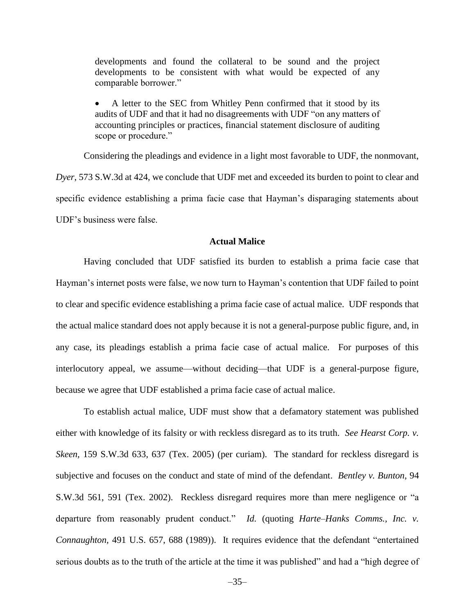developments and found the collateral to be sound and the project developments to be consistent with what would be expected of any comparable borrower."

 A letter to the SEC from Whitley Penn confirmed that it stood by its audits of UDF and that it had no disagreements with UDF "on any matters of accounting principles or practices, financial statement disclosure of auditing scope or procedure."

Considering the pleadings and evidence in a light most favorable to UDF, the nonmovant, *Dyer*, 573 S.W.3d at 424, we conclude that UDF met and exceeded its burden to point to clear and specific evidence establishing a prima facie case that Hayman's disparaging statements about UDF's business were false.

### **Actual Malice**

Having concluded that UDF satisfied its burden to establish a prima facie case that Hayman's internet posts were false, we now turn to Hayman's contention that UDF failed to point to clear and specific evidence establishing a prima facie case of actual malice. UDF responds that the actual malice standard does not apply because it is not a general-purpose public figure, and, in any case, its pleadings establish a prima facie case of actual malice. For purposes of this interlocutory appeal, we assume—without deciding—that UDF is a general-purpose figure, because we agree that UDF established a prima facie case of actual malice.

To establish actual malice, UDF must show that a defamatory statement was published either with knowledge of its falsity or with reckless disregard as to its truth. *See [Hearst Corp. v.](https://1.next.westlaw.com/Link/Document/FullText?findType=Y&serNum=2006338980&pubNum=0004644&originatingDoc=I0abcdac03fa911e59310dee353d566e2&refType=RP&fi=co_pp_sp_4644_637&originationContext=document&transitionType=DocumentItem&contextData=(sc.Search)#co_pp_sp_4644_637)  Skeen,* [159 S.W.3d 633, 637 \(Tex.](https://1.next.westlaw.com/Link/Document/FullText?findType=Y&serNum=2006338980&pubNum=0004644&originatingDoc=I0abcdac03fa911e59310dee353d566e2&refType=RP&fi=co_pp_sp_4644_637&originationContext=document&transitionType=DocumentItem&contextData=(sc.Search)#co_pp_sp_4644_637) 2005) (per curiam). The standard for reckless disregard is subjective and focuses on the conduct and state of mind of the defendant. *Bentley v. Bunton*, 94 S.W.3d 561, 591 (Tex. 2002). Reckless disregard requires more than mere negligence or "a departure from reasonably prudent conduct." *[Id.](https://1.next.westlaw.com/Link/Document/FullText?findType=Y&serNum=2002550275&pubNum=0004644&originatingDoc=I0abcdac03fa911e59310dee353d566e2&refType=RP&originationContext=document&transitionType=DocumentItem&contextData=(sc.Search))* (quoting *[Harte–Hanks Comms., Inc. v.](https://1.next.westlaw.com/Link/Document/FullText?findType=Y&serNum=1989093292&pubNum=0000780&originatingDoc=I0abcdac03fa911e59310dee353d566e2&refType=RP&fi=co_pp_sp_780_688&originationContext=document&transitionType=DocumentItem&contextData=(sc.Search)#co_pp_sp_780_688)  Connaughton,* [491 U.S. 657, 688 \(1989\)\)](https://1.next.westlaw.com/Link/Document/FullText?findType=Y&serNum=1989093292&pubNum=0000780&originatingDoc=I0abcdac03fa911e59310dee353d566e2&refType=RP&fi=co_pp_sp_780_688&originationContext=document&transitionType=DocumentItem&contextData=(sc.Search)#co_pp_sp_780_688). It requires evidence that the defendant "entertained serious doubts as to the truth of the article at the time it was published" and had a "high degree of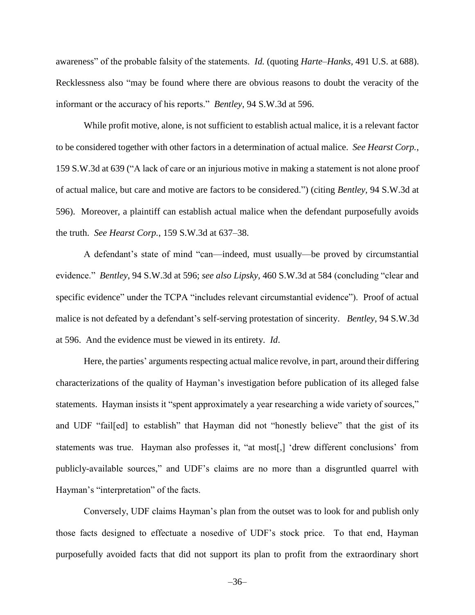awareness" of the probable falsity of the statements. *Id.* (quoting *Harte–Hanks,* [491 U.S. at 688\)](https://1.next.westlaw.com/Link/Document/FullText?findType=Y&serNum=1989093292&pubNum=0000780&originatingDoc=I0abcdac03fa911e59310dee353d566e2&refType=RP&fi=co_pp_sp_780_688&originationContext=document&transitionType=DocumentItem&contextData=(sc.Search)#co_pp_sp_780_688). Recklessness also "may be found where there are obvious reasons to doubt the veracity of the informant or the accuracy of his reports." *Bentley*, 94 S.W.3d at 596.

While profit motive, alone, is not sufficient to establish actual malice, it is a relevant factor to be considered together with other factors in a determination of actual malice. *See Hearst Corp.*, 159 S.W.3d at 639 ("A lack of care or an injurious motive in making a statement is not alone proof of actual malice, but care and motive are factors to be considered.") (citing *Bentley,* [94 S.W.3d at](https://1.next.westlaw.com/Link/Document/FullText?findType=Y&serNum=2002550275&pubNum=4644&originatingDoc=Id1fbf2f8ec7c11d98ac8f235252e36df&refType=RP&fi=co_pp_sp_4644_596&originationContext=document&transitionType=DocumentItem&contextData=(sc.Search)#co_pp_sp_4644_596)  [596\).](https://1.next.westlaw.com/Link/Document/FullText?findType=Y&serNum=2002550275&pubNum=4644&originatingDoc=Id1fbf2f8ec7c11d98ac8f235252e36df&refType=RP&fi=co_pp_sp_4644_596&originationContext=document&transitionType=DocumentItem&contextData=(sc.Search)#co_pp_sp_4644_596) Moreover, a plaintiff can establish actual malice when the defendant purposefully avoids the truth. *See Hearst Corp.*, 159 S.W.3d at 637–38.

A defendant's state of mind "can—indeed, must usually—be proved by circumstantial evidence." *Bentley*, 94 S.W.3d at 596; *see also Lipsky,* [460 S.W.3d at 584](https://1.next.westlaw.com/Link/Document/FullText?findType=Y&serNum=2036141844&pubNum=0004644&originatingDoc=I0abcdac03fa911e59310dee353d566e2&refType=RP&fi=co_pp_sp_4644_584&originationContext=document&transitionType=DocumentItem&contextData=(sc.Search)#co_pp_sp_4644_584) (concluding "clear and specific evidence" under the TCPA "includes relevant circumstantial evidence"). Proof of actual malice is not defeated by a defendant's self-serving protestation of sincerity. *Bentley*[, 94 S.W.3d](https://1.next.westlaw.com/Link/Document/FullText?findType=Y&serNum=2002550275&pubNum=0004644&originatingDoc=I0abcdac03fa911e59310dee353d566e2&refType=RP&fi=co_pp_sp_4644_596&originationContext=document&transitionType=DocumentItem&contextData=(sc.Search)#co_pp_sp_4644_596)  [at 596.](https://1.next.westlaw.com/Link/Document/FullText?findType=Y&serNum=2002550275&pubNum=0004644&originatingDoc=I0abcdac03fa911e59310dee353d566e2&refType=RP&fi=co_pp_sp_4644_596&originationContext=document&transitionType=DocumentItem&contextData=(sc.Search)#co_pp_sp_4644_596) And the evidence must be viewed in its entirety. *Id*.

Here, the parties' arguments respecting actual malice revolve, in part, around their differing characterizations of the quality of Hayman's investigation before publication of its alleged false statements. Hayman insists it "spent approximately a year researching a wide variety of sources," and UDF "fail[ed] to establish" that Hayman did not "honestly believe" that the gist of its statements was true. Hayman also professes it, "at most[,] 'drew different conclusions' from publicly-available sources," and UDF's claims are no more than a disgruntled quarrel with Hayman's "interpretation" of the facts.

Conversely, UDF claims Hayman's plan from the outset was to look for and publish only those facts designed to effectuate a nosedive of UDF's stock price. To that end, Hayman purposefully avoided facts that did not support its plan to profit from the extraordinary short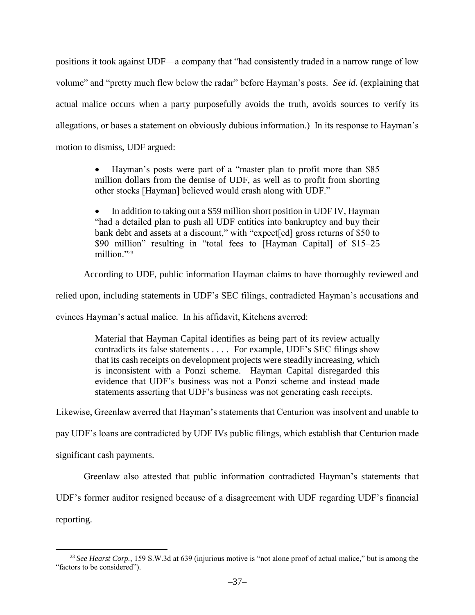positions it took against UDF—a company that "had consistently traded in a narrow range of low volume" and "pretty much flew below the radar" before Hayman's posts. *See id.* (explaining that actual malice occurs when a party purposefully avoids the truth, avoids sources to verify its allegations, or bases a statement on obviously dubious information.) In its response to Hayman's motion to dismiss, UDF argued:

> Hayman's posts were part of a "master plan to profit more than \$85 million dollars from the demise of UDF, as well as to profit from shorting other stocks [Hayman] believed would crash along with UDF."

> In addition to taking out a \$59 million short position in UDF IV, Hayman "had a detailed plan to push all UDF entities into bankruptcy and buy their bank debt and assets at a discount," with "expect[ed] gross returns of \$50 to \$90 million" resulting in "total fees to [Hayman Capital] of \$15–25 million."<sup>23</sup>

According to UDF, public information Hayman claims to have thoroughly reviewed and

relied upon, including statements in UDF's SEC filings, contradicted Hayman's accusations and

evinces Hayman's actual malice. In his affidavit, Kitchens averred:

Material that Hayman Capital identifies as being part of its review actually contradicts its false statements . . . . For example, UDF's SEC filings show that its cash receipts on development projects were steadily increasing, which is inconsistent with a Ponzi scheme. Hayman Capital disregarded this evidence that UDF's business was not a Ponzi scheme and instead made statements asserting that UDF's business was not generating cash receipts.

Likewise, Greenlaw averred that Hayman's statements that Centurion was insolvent and unable to

pay UDF's loans are contradicted by UDF IVs public filings, which establish that Centurion made

significant cash payments.

Greenlaw also attested that public information contradicted Hayman's statements that

UDF's former auditor resigned because of a disagreement with UDF regarding UDF's financial

reporting.

<sup>23</sup> *See Hearst Corp.*, 159 S.W.3d at 639 (injurious motive is "not alone proof of actual malice," but is among the "factors to be considered").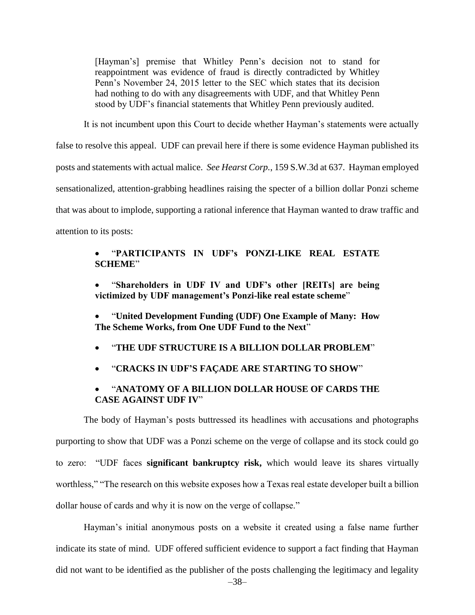[Hayman's] premise that Whitley Penn's decision not to stand for reappointment was evidence of fraud is directly contradicted by Whitley Penn's November 24, 2015 letter to the SEC which states that its decision had nothing to do with any disagreements with UDF, and that Whitley Penn stood by UDF's financial statements that Whitley Penn previously audited.

It is not incumbent upon this Court to decide whether Hayman's statements were actually

false to resolve this appeal. UDF can prevail here if there is some evidence Hayman published its

posts and statements with actual malice. *See Hearst Corp.*, 159 S.W.3d at 637. Hayman employed

sensationalized, attention-grabbing headlines raising the specter of a billion dollar Ponzi scheme

that was about to implode, supporting a rational inference that Hayman wanted to draw traffic and

attention to its posts:

## "**PARTICIPANTS IN UDF's PONZI-LIKE REAL ESTATE SCHEME**"

- "**Shareholders in UDF IV and UDF's other [REITs] are being victimized by UDF management's Ponzi-like real estate scheme**"
- "**United Development Funding (UDF) One Example of Many: How The Scheme Works, from One UDF Fund to the Next**"
- "**THE UDF STRUCTURE IS A BILLION DOLLAR PROBLEM**"
- "**CRACKS IN UDF'S FAÇADE ARE STARTING TO SHOW**"

# "**ANATOMY OF A BILLION DOLLAR HOUSE OF CARDS THE CASE AGAINST UDF IV**"

The body of Hayman's posts buttressed its headlines with accusations and photographs purporting to show that UDF was a Ponzi scheme on the verge of collapse and its stock could go to zero: "UDF faces **significant bankruptcy risk,** which would leave its shares virtually worthless," "The research on this website exposes how a Texas real estate developer built a billion dollar house of cards and why it is now on the verge of collapse."

Hayman's initial anonymous posts on a website it created using a false name further indicate its state of mind. UDF offered sufficient evidence to support a fact finding that Hayman did not want to be identified as the publisher of the posts challenging the legitimacy and legality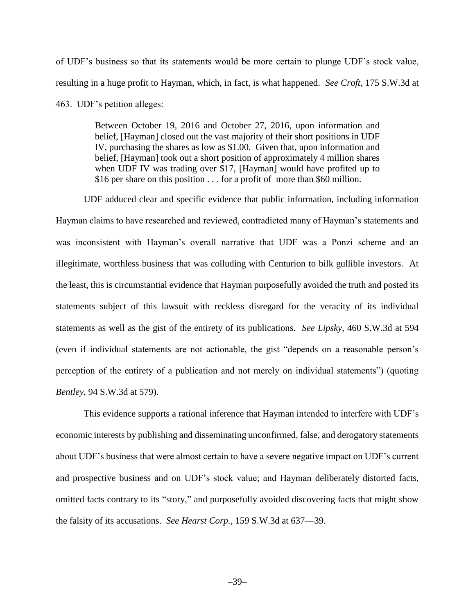of UDF's business so that its statements would be more certain to plunge UDF's stock value, resulting in a huge profit to Hayman, which, in fact, is what happened. *See Croft*, 175 S.W.3d at 463. UDF's petition alleges:

> Between October 19, 2016 and October 27, 2016, upon information and belief, [Hayman] closed out the vast majority of their short positions in UDF IV, purchasing the shares as low as \$1.00. Given that, upon information and belief, [Hayman] took out a short position of approximately 4 million shares when UDF IV was trading over \$17, [Hayman] would have profited up to \$16 per share on this position . . . for a profit of more than \$60 million.

UDF adduced clear and specific evidence that public information, including information Hayman claims to have researched and reviewed, contradicted many of Hayman's statements and was inconsistent with Hayman's overall narrative that UDF was a Ponzi scheme and an illegitimate, worthless business that was colluding with Centurion to bilk gullible investors. At the least, this is circumstantial evidence that Hayman purposefully avoided the truth and posted its statements subject of this lawsuit with reckless disregard for the veracity of its individual statements as well as the gist of the entirety of its publications. *See Lipsky*, 460 S.W.3d at 594 (even if individual statements are not actionable, the gist "depends on a reasonable person's perception of the entirety of a publication and not merely on individual statements") (quoting *Bentley*, 94 S.W.3d at 579).

This evidence supports a rational inference that Hayman intended to interfere with UDF's economic interests by publishing and disseminating unconfirmed, false, and derogatory statements about UDF's business that were almost certain to have a severe negative impact on UDF's current and prospective business and on UDF's stock value; and Hayman deliberately distorted facts, omitted facts contrary to its "story," and purposefully avoided discovering facts that might show the falsity of its accusations. *See Hearst Corp.*, 159 S.W.3d at 637—39.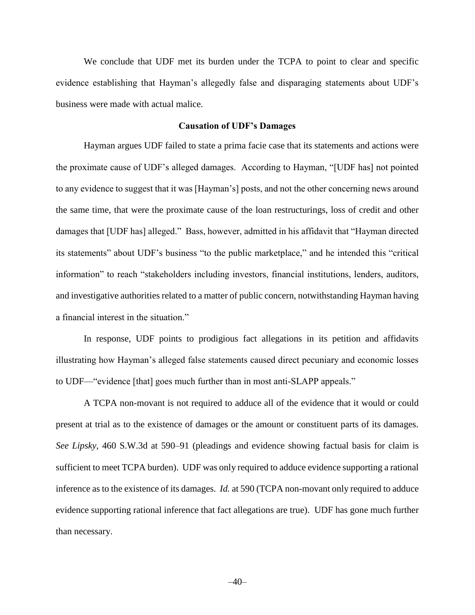We conclude that UDF met its burden under the TCPA to point to clear and specific evidence establishing that Hayman's allegedly false and disparaging statements about UDF's business were made with actual malice.

#### **Causation of UDF's Damages**

Hayman argues UDF failed to state a prima facie case that its statements and actions were the proximate cause of UDF's alleged damages. According to Hayman, "[UDF has] not pointed to any evidence to suggest that it was [Hayman's] posts, and not the other concerning news around the same time, that were the proximate cause of the loan restructurings, loss of credit and other damages that [UDF has] alleged." Bass, however, admitted in his affidavit that "Hayman directed its statements" about UDF's business "to the public marketplace," and he intended this "critical information" to reach "stakeholders including investors, financial institutions, lenders, auditors, and investigative authorities related to a matter of public concern, notwithstanding Hayman having a financial interest in the situation."

In response, UDF points to prodigious fact allegations in its petition and affidavits illustrating how Hayman's alleged false statements caused direct pecuniary and economic losses to UDF—"evidence [that] goes much further than in most anti-SLAPP appeals."

A TCPA non-movant is not required to adduce all of the evidence that it would or could present at trial as to the existence of damages or the amount or constituent parts of its damages. *See Lipsky*, 460 S.W.3d at 590–91 (pleadings and evidence showing factual basis for claim is sufficient to meet TCPA burden). UDF was only required to adduce evidence supporting a rational inference as to the existence of its damages. *Id.* at 590 (TCPA non-movant only required to adduce evidence supporting rational inference that fact allegations are true). UDF has gone much further than necessary.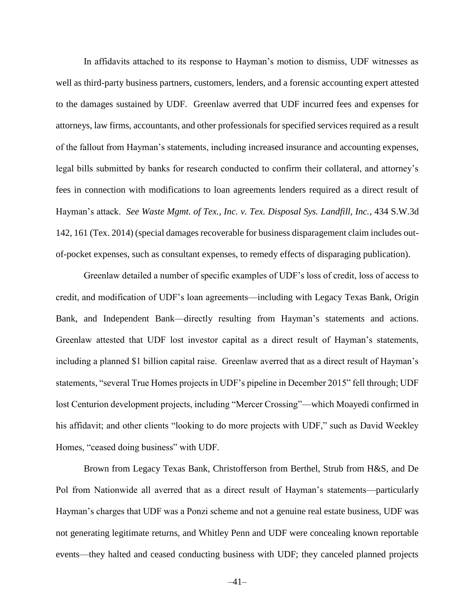In affidavits attached to its response to Hayman's motion to dismiss, UDF witnesses as well as third-party business partners, customers, lenders, and a forensic accounting expert attested to the damages sustained by UDF. Greenlaw averred that UDF incurred fees and expenses for attorneys, law firms, accountants, and other professionals for specified services required as a result of the fallout from Hayman's statements, including increased insurance and accounting expenses, legal bills submitted by banks for research conducted to confirm their collateral, and attorney's fees in connection with modifications to loan agreements lenders required as a direct result of Hayman's attack. *See Waste Mgmt. of Tex., Inc. v. Tex. Disposal Sys. Landfill, Inc.*, 434 S.W.3d 142, 161 (Tex. 2014) (special damages recoverable for business disparagement claim includes outof-pocket expenses, such as consultant expenses, to remedy effects of disparaging publication).

Greenlaw detailed a number of specific examples of UDF's loss of credit, loss of access to credit, and modification of UDF's loan agreements—including with Legacy Texas Bank, Origin Bank, and Independent Bank—directly resulting from Hayman's statements and actions. Greenlaw attested that UDF lost investor capital as a direct result of Hayman's statements, including a planned \$1 billion capital raise. Greenlaw averred that as a direct result of Hayman's statements, "several True Homes projects in UDF's pipeline in December 2015" fell through; UDF lost Centurion development projects, including "Mercer Crossing"—which Moayedi confirmed in his affidavit; and other clients "looking to do more projects with UDF," such as David Weekley Homes, "ceased doing business" with UDF.

Brown from Legacy Texas Bank, Christofferson from Berthel, Strub from H&S, and De Pol from Nationwide all averred that as a direct result of Hayman's statements—particularly Hayman's charges that UDF was a Ponzi scheme and not a genuine real estate business, UDF was not generating legitimate returns, and Whitley Penn and UDF were concealing known reportable events—they halted and ceased conducting business with UDF; they canceled planned projects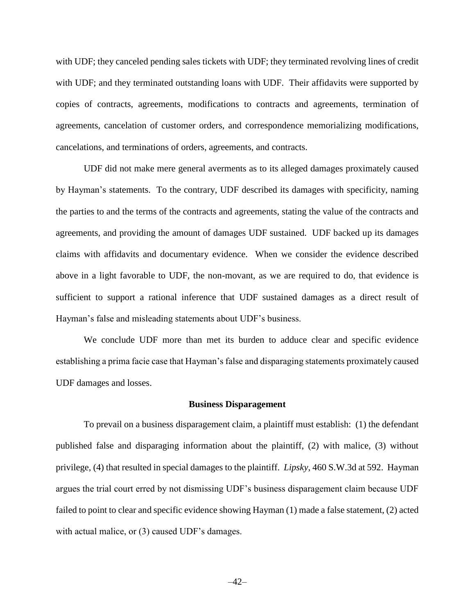with UDF; they canceled pending sales tickets with UDF; they terminated revolving lines of credit with UDF; and they terminated outstanding loans with UDF. Their affidavits were supported by copies of contracts, agreements, modifications to contracts and agreements, termination of agreements, cancelation of customer orders, and correspondence memorializing modifications, cancelations, and terminations of orders, agreements, and contracts.

UDF did not make mere general averments as to its alleged damages proximately caused by Hayman's statements. To the contrary, UDF described its damages with specificity, naming the parties to and the terms of the contracts and agreements, stating the value of the contracts and agreements, and providing the amount of damages UDF sustained. UDF backed up its damages claims with affidavits and documentary evidence. When we consider the evidence described above in a light favorable to UDF, the non-movant, as we are required to do, that evidence is sufficient to support a rational inference that UDF sustained damages as a direct result of Hayman's false and misleading statements about UDF's business.

We conclude UDF more than met its burden to adduce clear and specific evidence establishing a prima facie case that Hayman's false and disparaging statements proximately caused UDF damages and losses.

#### **Business Disparagement**

To prevail on a business disparagement claim, a plaintiff must establish: (1) the defendant published false and disparaging information about the plaintiff, (2) with malice, (3) without privilege, (4) that resulted in special damages to the plaintiff. *Lipsky*, 460 S.W.3d at 592. Hayman argues the trial court erred by not dismissing UDF's business disparagement claim because UDF failed to point to clear and specific evidence showing Hayman (1) made a false statement, (2) acted with actual malice, or (3) caused UDF's damages.

–42–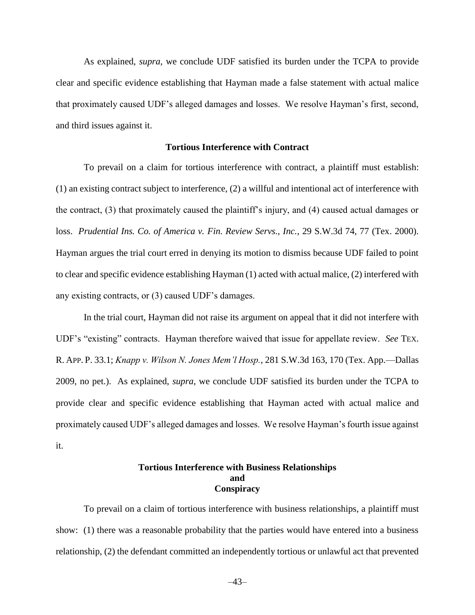As explained, *supra*, we conclude UDF satisfied its burden under the TCPA to provide clear and specific evidence establishing that Hayman made a false statement with actual malice that proximately caused UDF's alleged damages and losses. We resolve Hayman's first, second, and third issues against it.

## **Tortious Interference with Contract**

To prevail on a claim for tortious interference with contract, a plaintiff must establish: (1) an existing contract subject to interference, (2) a willful and intentional act of interference with the contract, (3) that proximately caused the plaintiff's injury, and (4) caused actual damages or loss. *Prudential Ins. Co. of America v. Fin. Review Servs., Inc.*, 29 S.W.3d 74, 77 (Tex. 2000). Hayman argues the trial court erred in denying its motion to dismiss because UDF failed to point to clear and specific evidence establishing Hayman (1) acted with actual malice, (2) interfered with any existing contracts, or (3) caused UDF's damages.

In the trial court, Hayman did not raise its argument on appeal that it did not interfere with UDF's "existing" contracts. Hayman therefore waived that issue for appellate review. *See* TEX. R. APP. P. 33.1; *Knapp v. Wilson N. Jones Mem'l Hosp.*, 281 S.W.3d 163, 170 (Tex. App.—Dallas 2009, no pet.). As explained, *supra*, we conclude UDF satisfied its burden under the TCPA to provide clear and specific evidence establishing that Hayman acted with actual malice and proximately caused UDF's alleged damages and losses. We resolve Hayman's fourth issue against it.

# **Tortious Interference with Business Relationships and Conspiracy**

To prevail on a claim of tortious interference with business relationships, a plaintiff must show: (1) there was a reasonable probability that the parties would have entered into a business relationship, (2) the defendant committed an independently tortious or unlawful act that prevented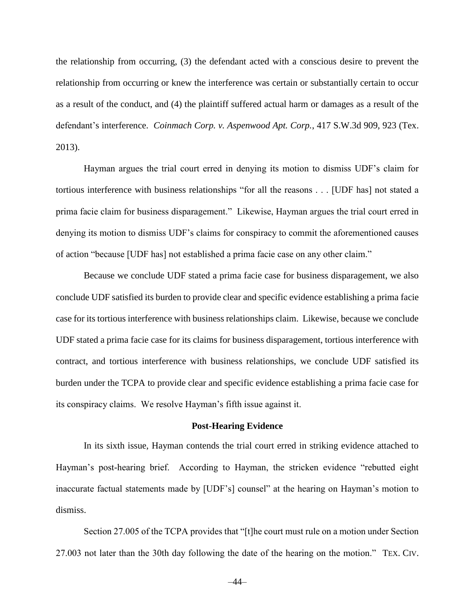the relationship from occurring, (3) the defendant acted with a conscious desire to prevent the relationship from occurring or knew the interference was certain or substantially certain to occur as a result of the conduct, and (4) the plaintiff suffered actual harm or damages as a result of the defendant's interference. *[Coinmach Corp. v. Aspenwood Apt. Corp.](https://1.next.westlaw.com/Link/Document/FullText?findType=Y&serNum=2032194426&pubNum=0004644&originatingDoc=Ifd389b60ccc111e88037ff68a1223ab1&refType=RP&fi=co_pp_sp_4644_923&originationContext=document&transitionType=DocumentItem&contextData=(sc.Search)#co_pp_sp_4644_923)*, 417 S.W.3d 909, 923 (Tex. [2013\).](https://1.next.westlaw.com/Link/Document/FullText?findType=Y&serNum=2032194426&pubNum=0004644&originatingDoc=Ifd389b60ccc111e88037ff68a1223ab1&refType=RP&fi=co_pp_sp_4644_923&originationContext=document&transitionType=DocumentItem&contextData=(sc.Search)#co_pp_sp_4644_923)

Hayman argues the trial court erred in denying its motion to dismiss UDF's claim for tortious interference with business relationships "for all the reasons . . . [UDF has] not stated a prima facie claim for business disparagement." Likewise, Hayman argues the trial court erred in denying its motion to dismiss UDF's claims for conspiracy to commit the aforementioned causes of action "because [UDF has] not established a prima facie case on any other claim."

Because we conclude UDF stated a prima facie case for business disparagement, we also conclude UDF satisfied its burden to provide clear and specific evidence establishing a prima facie case for its tortious interference with business relationships claim. Likewise, because we conclude UDF stated a prima facie case for its claims for business disparagement, tortious interference with contract, and tortious interference with business relationships, we conclude UDF satisfied its burden under the TCPA to provide clear and specific evidence establishing a prima facie case for its conspiracy claims. We resolve Hayman's fifth issue against it.

#### **Post-Hearing Evidence**

In its sixth issue, Hayman contends the trial court erred in striking evidence attached to Hayman's post-hearing brief. According to Hayman, the stricken evidence "rebutted eight inaccurate factual statements made by [UDF's] counsel" at the hearing on Hayman's motion to dismiss.

Section 27.005 of the TCPA provides that "[t]he court must rule on a motion under Section 27.003 not later than the 30th day following the date of the hearing on the motion." TEX. CIV.

–44–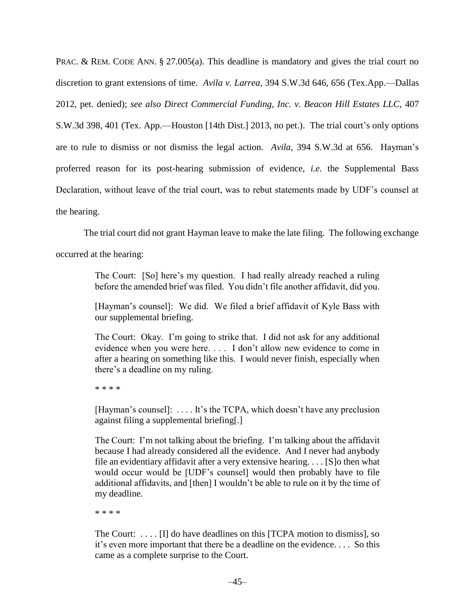PRAC. & REM. CODE ANN. § [27.005\(a\).](https://1.next.westlaw.com/Link/Document/FullText?findType=L&pubNum=1000170&cite=TXCPS27.005&originatingDoc=I3575fe208fa111e599acc8b1bd059237&refType=SP&originationContext=document&transitionType=DocumentItem&contextData=(sc.Search)#co_pp_8b3b0000958a4) This deadline is mandatory and gives the trial court no discretion to grant extensions of time. *Avila v. Larrea,* [394 S.W.3d 646, 656 \(Tex.App.—Dallas](https://1.next.westlaw.com/Link/Document/FullText?findType=Y&serNum=2029490536&pubNum=0004644&originatingDoc=I3575fe208fa111e599acc8b1bd059237&refType=RP&fi=co_pp_sp_4644_656&originationContext=document&transitionType=DocumentItem&contextData=(sc.Search)#co_pp_sp_4644_656)  [2012, pet. denied\);](https://1.next.westlaw.com/Link/Document/FullText?findType=Y&serNum=2029490536&pubNum=0004644&originatingDoc=I3575fe208fa111e599acc8b1bd059237&refType=RP&fi=co_pp_sp_4644_656&originationContext=document&transitionType=DocumentItem&contextData=(sc.Search)#co_pp_sp_4644_656) *see also [Direct Commercial Funding, Inc. v. Beacon Hill Estates LLC,](https://1.next.westlaw.com/Link/Document/FullText?findType=Y&serNum=2030973805&pubNum=0004644&originatingDoc=I3575fe208fa111e599acc8b1bd059237&refType=RP&fi=co_pp_sp_4644_401&originationContext=document&transitionType=DocumentItem&contextData=(sc.Search)#co_pp_sp_4644_401)* 407 S.W.3d 398, 401 (Tex. [App.—Houston \[14th Dist.\] 2013, no pet.\).](https://1.next.westlaw.com/Link/Document/FullText?findType=Y&serNum=2030973805&pubNum=0004644&originatingDoc=I3575fe208fa111e599acc8b1bd059237&refType=RP&fi=co_pp_sp_4644_401&originationContext=document&transitionType=DocumentItem&contextData=(sc.Search)#co_pp_sp_4644_401) The trial court's only options are to rule to dismiss or not dismiss the legal action. *Avila,* [394 S.W.3d at 656.](https://1.next.westlaw.com/Link/Document/FullText?findType=Y&serNum=2029490536&pubNum=0004644&originatingDoc=I3575fe208fa111e599acc8b1bd059237&refType=RP&fi=co_pp_sp_4644_656&originationContext=document&transitionType=DocumentItem&contextData=(sc.Search)#co_pp_sp_4644_656) Hayman's proferred reason for its post-hearing submission of evidence, *i.e.* the Supplemental Bass Declaration, without leave of the trial court, was to rebut statements made by UDF's counsel at the hearing.

The trial court did not grant Hayman leave to make the late filing. The following exchange

occurred at the hearing:

The Court: [So] here's my question. I had really already reached a ruling before the amended brief was filed. You didn't file another affidavit, did you.

[Hayman's counsel]: We did. We filed a brief affidavit of Kyle Bass with our supplemental briefing.

The Court: Okay. I'm going to strike that. I did not ask for any additional evidence when you were here. . . . I don't allow new evidence to come in after a hearing on something like this. I would never finish, especially when there's a deadline on my ruling.

\* \* \* \*

[Hayman's counsel]: . . . . It's the TCPA, which doesn't have any preclusion against filing a supplemental briefing[.]

The Court: I'm not talking about the briefing. I'm talking about the affidavit because I had already considered all the evidence. And I never had anybody file an evidentiary affidavit after a very extensive hearing. . . . [S]o then what would occur would be [UDF's counsel] would then probably have to file additional affidavits, and [then] I wouldn't be able to rule on it by the time of my deadline.

\* \* \* \*

The Court: . . . . [I] do have deadlines on this [TCPA motion to dismiss], so it's even more important that there be a deadline on the evidence. . . . So this came as a complete surprise to the Court.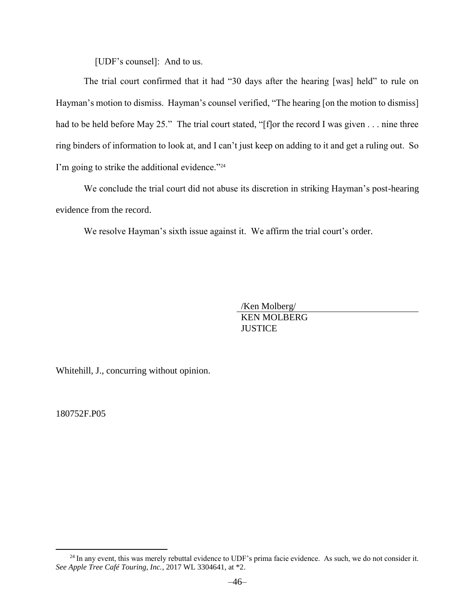[UDF's counsel]: And to us.

The trial court confirmed that it had "30 days after the hearing [was] held" to rule on Hayman's motion to dismiss. Hayman's counsel verified, "The hearing [on the motion to dismiss] had to be held before May 25." The trial court stated, "[f]or the record I was given . . . nine three ring binders of information to look at, and I can't just keep on adding to it and get a ruling out. So I'm going to strike the additional evidence."<sup>24</sup>

We conclude the trial court did not abuse its discretion in striking Hayman's post-hearing evidence from the record.

We resolve Hayman's sixth issue against it. We affirm the trial court's order.

/Ken Molberg/ KEN MOLBERG **JUSTICE** 

Whitehill, J., concurring without opinion.

180752F.P05

<sup>&</sup>lt;sup>24</sup> In any event, this was merely rebuttal evidence to UDF's prima facie evidence. As such, we do not consider it. *See Apple Tree Café Touring, Inc.*, 2017 WL 3304641, at \*2.